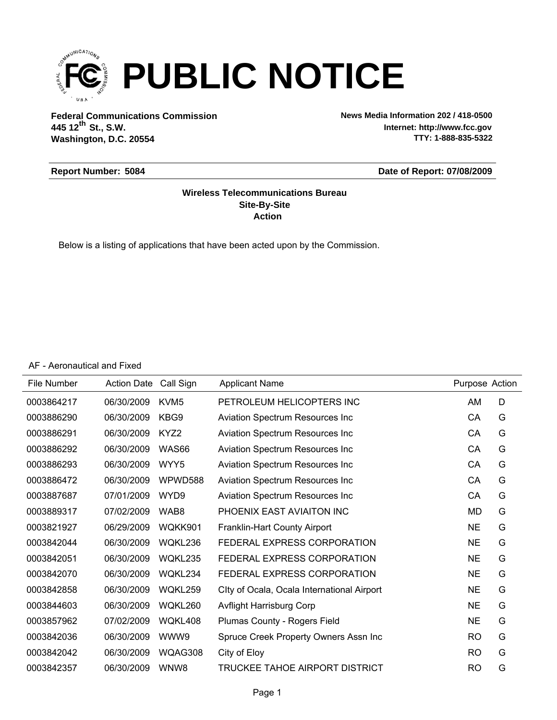

**Federal Communications Commission News Media Information 202 / 418-0500 Washington, D.C. 20554 th 445 12 St., S.W.**

**Internet: http://www.fcc.gov TTY: 1-888-835-5322**

#### **Report Number: 5084**

#### **Date of Report: 07/08/2009**

#### **Action Site-By-Site Wireless Telecommunications Bureau**

Below is a listing of applications that have been acted upon by the Commission.

AF - Aeronautical and Fixed

| File Number | <b>Action Date</b> | Call Sign        | <b>Applicant Name</b>                      | Purpose Action |   |
|-------------|--------------------|------------------|--------------------------------------------|----------------|---|
| 0003864217  | 06/30/2009         | KVM <sub>5</sub> | PETROLEUM HELICOPTERS INC                  | AM             | D |
| 0003886290  | 06/30/2009         | KBG9             | Aviation Spectrum Resources Inc            | CA             | G |
| 0003886291  | 06/30/2009         | KYZ2             | Aviation Spectrum Resources Inc            | CA             | G |
| 0003886292  | 06/30/2009         | WAS66            | Aviation Spectrum Resources Inc            | CA             | G |
| 0003886293  | 06/30/2009         | WYY5             | Aviation Spectrum Resources Inc            | CA             | G |
| 0003886472  | 06/30/2009         | WPWD588          | Aviation Spectrum Resources Inc            | CA             | G |
| 0003887687  | 07/01/2009         | WYD9             | Aviation Spectrum Resources Inc            | CA             | G |
| 0003889317  | 07/02/2009         | WAB8             | PHOENIX EAST AVIAITON INC                  | <b>MD</b>      | G |
| 0003821927  | 06/29/2009         | WQKK901          | Franklin-Hart County Airport               | <b>NE</b>      | G |
| 0003842044  | 06/30/2009         | WQKL236          | FEDERAL EXPRESS CORPORATION                | <b>NE</b>      | G |
| 0003842051  | 06/30/2009         | WQKL235          | FEDERAL EXPRESS CORPORATION                | <b>NE</b>      | G |
| 0003842070  | 06/30/2009         | WQKL234          | FEDERAL EXPRESS CORPORATION                | <b>NE</b>      | G |
| 0003842858  | 06/30/2009         | WQKL259          | Clty of Ocala, Ocala International Airport | <b>NE</b>      | G |
| 0003844603  | 06/30/2009         | WQKL260          | <b>Avflight Harrisburg Corp</b>            | <b>NE</b>      | G |
| 0003857962  | 07/02/2009         | WQKL408          | Plumas County - Rogers Field               | <b>NE</b>      | G |
| 0003842036  | 06/30/2009         | WWW9             | Spruce Creek Property Owners Assn Inc      | <b>RO</b>      | G |
| 0003842042  | 06/30/2009         | WQAG308          | City of Eloy                               | <b>RO</b>      | G |
| 0003842357  | 06/30/2009         | WNW8             | TRUCKEE TAHOE AIRPORT DISTRICT             | <b>RO</b>      | G |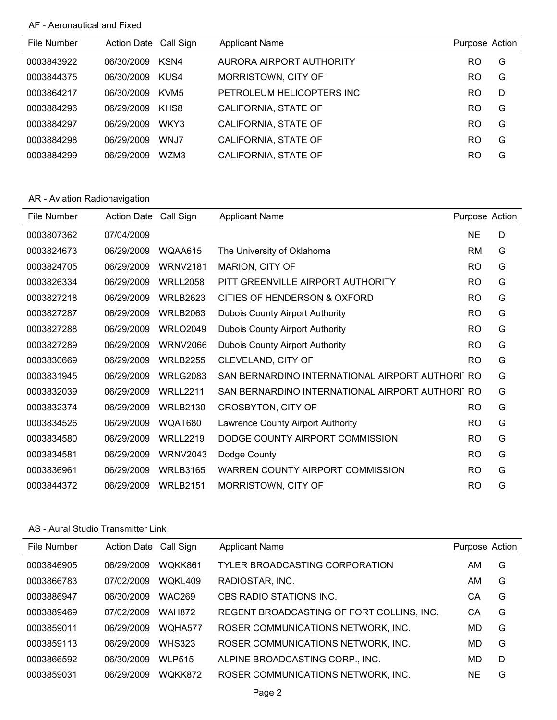# AF - Aeronautical and Fixed

| File Number | Action Date Call Sign |                  | <b>Applicant Name</b>     | Purpose Action |   |
|-------------|-----------------------|------------------|---------------------------|----------------|---|
| 0003843922  | 06/30/2009            | KSN4             | AURORA AIRPORT AUTHORITY  | RO             | G |
| 0003844375  | 06/30/2009            | KUS4             | MORRISTOWN, CITY OF       | RO             | G |
| 0003864217  | 06/30/2009            | KVM <sub>5</sub> | PETROLEUM HELICOPTERS INC | RO             | D |
| 0003884296  | 06/29/2009            | KHS8             | CALIFORNIA, STATE OF      | RO             | G |
| 0003884297  | 06/29/2009            | WKY3             | CALIFORNIA, STATE OF      | RO             | G |
| 0003884298  | 06/29/2009            | WNJ7             | CALIFORNIA, STATE OF      | RO             | G |
| 0003884299  | 06/29/2009            | WZM3             | CALIFORNIA, STATE OF      | RO             | G |

# AR - Aviation Radionavigation

| File Number | <b>Action Date</b> | Call Sign       | <b>Applicant Name</b>                           | Purpose Action |   |
|-------------|--------------------|-----------------|-------------------------------------------------|----------------|---|
| 0003807362  | 07/04/2009         |                 |                                                 | <b>NE</b>      | D |
| 0003824673  | 06/29/2009         | WQAA615         | The University of Oklahoma                      | RM             | G |
| 0003824705  | 06/29/2009         | <b>WRNV2181</b> | MARION, CITY OF                                 | <b>RO</b>      | G |
| 0003826334  | 06/29/2009         | <b>WRLL2058</b> | PITT GREENVILLE AIRPORT AUTHORITY               | <b>RO</b>      | G |
| 0003827218  | 06/29/2009         | <b>WRLB2623</b> | CITIES OF HENDERSON & OXFORD                    | <b>RO</b>      | G |
| 0003827287  | 06/29/2009         | <b>WRLB2063</b> | <b>Dubois County Airport Authority</b>          | <b>RO</b>      | G |
| 0003827288  | 06/29/2009         | <b>WRLO2049</b> | <b>Dubois County Airport Authority</b>          | <b>RO</b>      | G |
| 0003827289  | 06/29/2009         | <b>WRNV2066</b> | <b>Dubois County Airport Authority</b>          | <b>RO</b>      | G |
| 0003830669  | 06/29/2009         | <b>WRLB2255</b> | CLEVELAND, CITY OF                              | <b>RO</b>      | G |
| 0003831945  | 06/29/2009         | <b>WRLG2083</b> | SAN BERNARDINO INTERNATIONAL AIRPORT AUTHORI RO |                | G |
| 0003832039  | 06/29/2009         | <b>WRLL2211</b> | SAN BERNARDINO INTERNATIONAL AIRPORT AUTHORI RO |                | G |
| 0003832374  | 06/29/2009         | <b>WRLB2130</b> | <b>CROSBYTON, CITY OF</b>                       | <b>RO</b>      | G |
| 0003834526  | 06/29/2009         | WQAT680         | Lawrence County Airport Authority               | <b>RO</b>      | G |
| 0003834580  | 06/29/2009         | <b>WRLL2219</b> | DODGE COUNTY AIRPORT COMMISSION                 | <b>RO</b>      | G |
| 0003834581  | 06/29/2009         | <b>WRNV2043</b> | Dodge County                                    | <b>RO</b>      | G |
| 0003836961  | 06/29/2009         | <b>WRLB3165</b> | WARREN COUNTY AIRPORT COMMISSION                | <b>RO</b>      | G |
| 0003844372  | 06/29/2009         | <b>WRLB2151</b> | MORRISTOWN, CITY OF                             | <b>RO</b>      | G |

#### AS - Aural Studio Transmitter Link

| File Number | Action Date Call Sign |               | <b>Applicant Name</b>                     | Purpose Action |   |
|-------------|-----------------------|---------------|-------------------------------------------|----------------|---|
| 0003846905  | 06/29/2009            | WOKK861       | TYLER BROADCASTING CORPORATION            | AM             | G |
| 0003866783  | 07/02/2009            | WOKL409       | RADIOSTAR, INC.                           | AM             | G |
| 0003886947  | 06/30/2009            | <b>WAC269</b> | CBS RADIO STATIONS INC.                   | CА             | G |
| 0003889469  | 07/02/2009            | <b>WAH872</b> | REGENT BROADCASTING OF FORT COLLINS, INC. | CА             | G |
| 0003859011  | 06/29/2009            | WOHA577       | ROSER COMMUNICATIONS NETWORK, INC.        | MD             | G |
| 0003859113  | 06/29/2009            | <b>WHS323</b> | ROSER COMMUNICATIONS NETWORK, INC.        | MD             | G |
| 0003866592  | 06/30/2009            | <b>WLP515</b> | ALPINE BROADCASTING CORP., INC.           | MD             | D |
| 0003859031  | 06/29/2009            | WQKK872       | ROSER COMMUNICATIONS NETWORK, INC.        | <b>NE</b>      | G |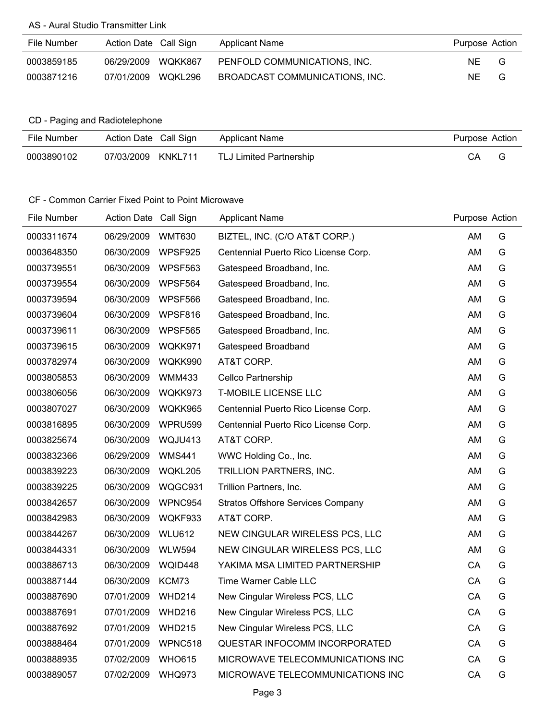# AS - Aural Studio Transmitter Link

| File Number | Action Date Call Sign |         | <b>Applicant Name</b>          | Purpose Action |   |
|-------------|-----------------------|---------|--------------------------------|----------------|---|
| 0003859185  | 06/29/2009            | WQKK867 | PENFOLD COMMUNICATIONS. INC.   | NF             | G |
| 0003871216  | 07/01/2009            | WQKL296 | BROADCAST COMMUNICATIONS. INC. | NE.            | G |

# CD - Paging and Radiotelephone

| File Number | Action Date Call Sign | Applicant Name                 | Purpose Action |  |
|-------------|-----------------------|--------------------------------|----------------|--|
| 0003890102  | 07/03/2009 KNKL711    | <b>TLJ Limited Partnership</b> | CА             |  |

#### CF - Common Carrier Fixed Point to Point Microwave

| File Number | Action Date Call Sign |               | <b>Applicant Name</b>                    | Purpose Action |   |
|-------------|-----------------------|---------------|------------------------------------------|----------------|---|
| 0003311674  | 06/29/2009            | <b>WMT630</b> | BIZTEL, INC. (C/O AT&T CORP.)            | AM             | G |
| 0003648350  | 06/30/2009            | WPSF925       | Centennial Puerto Rico License Corp.     | AM             | G |
| 0003739551  | 06/30/2009            | WPSF563       | Gatespeed Broadband, Inc.                | AM             | G |
| 0003739554  | 06/30/2009            | WPSF564       | Gatespeed Broadband, Inc.                | AM             | G |
| 0003739594  | 06/30/2009            | WPSF566       | Gatespeed Broadband, Inc.                | AM             | G |
| 0003739604  | 06/30/2009            | WPSF816       | Gatespeed Broadband, Inc.                | AM             | G |
| 0003739611  | 06/30/2009            | WPSF565       | Gatespeed Broadband, Inc.                | AM             | G |
| 0003739615  | 06/30/2009            | WQKK971       | Gatespeed Broadband                      | AM             | G |
| 0003782974  | 06/30/2009            | WQKK990       | AT&T CORP.                               | AM             | G |
| 0003805853  | 06/30/2009            | <b>WMM433</b> | Cellco Partnership                       | AM             | G |
| 0003806056  | 06/30/2009            | WQKK973       | <b>T-MOBILE LICENSE LLC</b>              | AM             | G |
| 0003807027  | 06/30/2009            | WQKK965       | Centennial Puerto Rico License Corp.     | AM             | G |
| 0003816895  | 06/30/2009            | WPRU599       | Centennial Puerto Rico License Corp.     | AM             | G |
| 0003825674  | 06/30/2009            | WQJU413       | AT&T CORP.                               | AM             | G |
| 0003832366  | 06/29/2009            | <b>WMS441</b> | WWC Holding Co., Inc.                    | AM             | G |
| 0003839223  | 06/30/2009            | WQKL205       | TRILLION PARTNERS, INC.                  | AM             | G |
| 0003839225  | 06/30/2009            | WQGC931       | Trillion Partners, Inc.                  | AM             | G |
| 0003842657  | 06/30/2009            | WPNC954       | <b>Stratos Offshore Services Company</b> | AM             | G |
| 0003842983  | 06/30/2009            | WQKF933       | AT&T CORP.                               | AM             | G |
| 0003844267  | 06/30/2009            | <b>WLU612</b> | NEW CINGULAR WIRELESS PCS, LLC           | AM             | G |
| 0003844331  | 06/30/2009            | <b>WLW594</b> | NEW CINGULAR WIRELESS PCS, LLC           | AM             | G |
| 0003886713  | 06/30/2009            | WQID448       | YAKIMA MSA LIMITED PARTNERSHIP           | CA             | G |
| 0003887144  | 06/30/2009            | KCM73         | Time Warner Cable LLC                    | CA             | G |
| 0003887690  | 07/01/2009            | <b>WHD214</b> | New Cingular Wireless PCS, LLC           | CA             | G |
| 0003887691  | 07/01/2009            | <b>WHD216</b> | New Cingular Wireless PCS, LLC           | CA             | G |
| 0003887692  | 07/01/2009            | <b>WHD215</b> | New Cingular Wireless PCS, LLC           | CA             | G |
| 0003888464  | 07/01/2009            | WPNC518       | QUESTAR INFOCOMM INCORPORATED            | CA             | G |
| 0003888935  | 07/02/2009            | <b>WHO615</b> | MICROWAVE TELECOMMUNICATIONS INC         | CA             | G |
| 0003889057  | 07/02/2009            | <b>WHQ973</b> | MICROWAVE TELECOMMUNICATIONS INC         | CA             | G |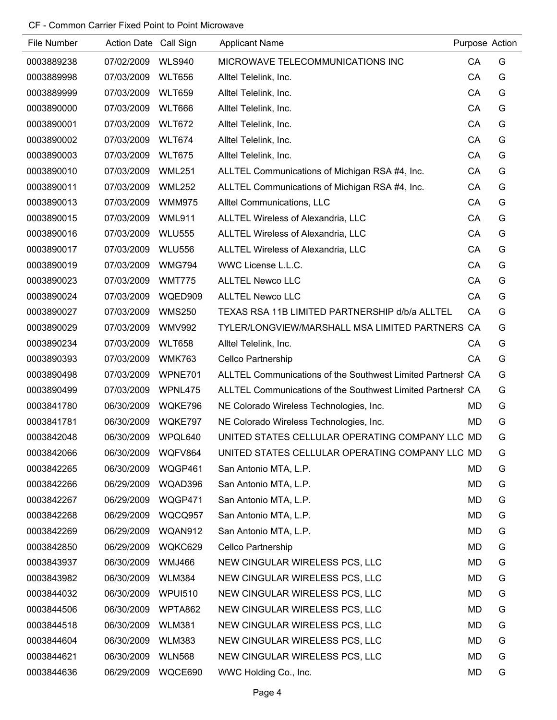# CF - Common Carrier Fixed Point to Point Microwave

| File Number | Action Date Call Sign |                | <b>Applicant Name</b>                                       | Purpose Action |   |
|-------------|-----------------------|----------------|-------------------------------------------------------------|----------------|---|
| 0003889238  | 07/02/2009            | <b>WLS940</b>  | MICROWAVE TELECOMMUNICATIONS INC                            | CA             | G |
| 0003889998  | 07/03/2009            | <b>WLT656</b>  | Alltel Telelink, Inc.                                       | CA             | G |
| 0003889999  | 07/03/2009            | <b>WLT659</b>  | Alltel Telelink, Inc.                                       | CA             | G |
| 0003890000  | 07/03/2009            | <b>WLT666</b>  | Alltel Telelink, Inc.                                       | CA             | G |
| 0003890001  | 07/03/2009            | <b>WLT672</b>  | Alltel Telelink, Inc.                                       | CA             | G |
| 0003890002  | 07/03/2009            | <b>WLT674</b>  | Alltel Telelink, Inc.                                       | CA             | G |
| 0003890003  | 07/03/2009            | <b>WLT675</b>  | Alltel Telelink, Inc.                                       | CA             | G |
| 0003890010  | 07/03/2009            | <b>WML251</b>  | ALLTEL Communications of Michigan RSA #4, Inc.              | CA             | G |
| 0003890011  | 07/03/2009            | <b>WML252</b>  | ALLTEL Communications of Michigan RSA #4, Inc.              | CA             | G |
| 0003890013  | 07/03/2009            | <b>WMM975</b>  | Alltel Communications, LLC                                  | CA             | G |
| 0003890015  | 07/03/2009            | WML911         | ALLTEL Wireless of Alexandria, LLC                          | CA             | G |
| 0003890016  | 07/03/2009            | <b>WLU555</b>  | ALLTEL Wireless of Alexandria, LLC                          | CA             | G |
| 0003890017  | 07/03/2009            | <b>WLU556</b>  | ALLTEL Wireless of Alexandria, LLC                          | CA             | G |
| 0003890019  | 07/03/2009            | <b>WMG794</b>  | WWC License L.L.C.                                          | CA             | G |
| 0003890023  | 07/03/2009            | <b>WMT775</b>  | <b>ALLTEL Newco LLC</b>                                     | CA             | G |
| 0003890024  | 07/03/2009            | WQED909        | <b>ALLTEL Newco LLC</b>                                     | CA             | G |
| 0003890027  | 07/03/2009            | <b>WMS250</b>  | TEXAS RSA 11B LIMITED PARTNERSHIP d/b/a ALLTEL              | CA             | G |
| 0003890029  | 07/03/2009            | <b>WMV992</b>  | TYLER/LONGVIEW/MARSHALL MSA LIMITED PARTNERS CA             |                | G |
| 0003890234  | 07/03/2009            | <b>WLT658</b>  | Alltel Telelink, Inc.                                       | СA             | G |
| 0003890393  | 07/03/2009            | <b>WMK763</b>  | Cellco Partnership                                          | CA             | G |
| 0003890498  | 07/03/2009            | WPNE701        | ALLTEL Communications of the Southwest Limited Partnersh CA |                | G |
| 0003890499  | 07/03/2009            | WPNL475        | ALLTEL Communications of the Southwest Limited Partnersh CA |                | G |
| 0003841780  | 06/30/2009            | WQKE796        | NE Colorado Wireless Technologies, Inc.                     | MD             | G |
| 0003841781  | 06/30/2009            | WQKE797        | NE Colorado Wireless Technologies, Inc.                     | <b>MD</b>      | G |
| 0003842048  | 06/30/2009            | WPQL640        | UNITED STATES CELLULAR OPERATING COMPANY LLC MD             |                | G |
| 0003842066  | 06/30/2009            | WQFV864        | UNITED STATES CELLULAR OPERATING COMPANY LLC MD             |                | G |
| 0003842265  | 06/30/2009            | WQGP461        | San Antonio MTA, L.P.                                       | MD             | G |
| 0003842266  | 06/29/2009            | WQAD396        | San Antonio MTA, L.P.                                       | <b>MD</b>      | G |
| 0003842267  | 06/29/2009            | WQGP471        | San Antonio MTA, L.P.                                       | MD             | G |
| 0003842268  | 06/29/2009            | WQCQ957        | San Antonio MTA, L.P.                                       | MD             | G |
| 0003842269  | 06/29/2009            | WQAN912        | San Antonio MTA, L.P.                                       | MD             | G |
| 0003842850  | 06/29/2009            | WQKC629        | Cellco Partnership                                          | MD             | G |
| 0003843937  | 06/30/2009            | <b>WMJ466</b>  | NEW CINGULAR WIRELESS PCS, LLC                              | MD             | G |
| 0003843982  | 06/30/2009            | <b>WLM384</b>  | NEW CINGULAR WIRELESS PCS, LLC                              | MD             | G |
| 0003844032  | 06/30/2009            | <b>WPUI510</b> | NEW CINGULAR WIRELESS PCS, LLC                              | MD             | G |
| 0003844506  | 06/30/2009            | WPTA862        | NEW CINGULAR WIRELESS PCS, LLC                              | MD             | G |
| 0003844518  | 06/30/2009            | <b>WLM381</b>  | NEW CINGULAR WIRELESS PCS, LLC                              | MD             | G |
| 0003844604  | 06/30/2009            | <b>WLM383</b>  | NEW CINGULAR WIRELESS PCS, LLC                              | MD             | G |
| 0003844621  | 06/30/2009            | <b>WLN568</b>  | NEW CINGULAR WIRELESS PCS, LLC                              | MD             | G |
| 0003844636  | 06/29/2009            | WQCE690        | WWC Holding Co., Inc.                                       | MD             | G |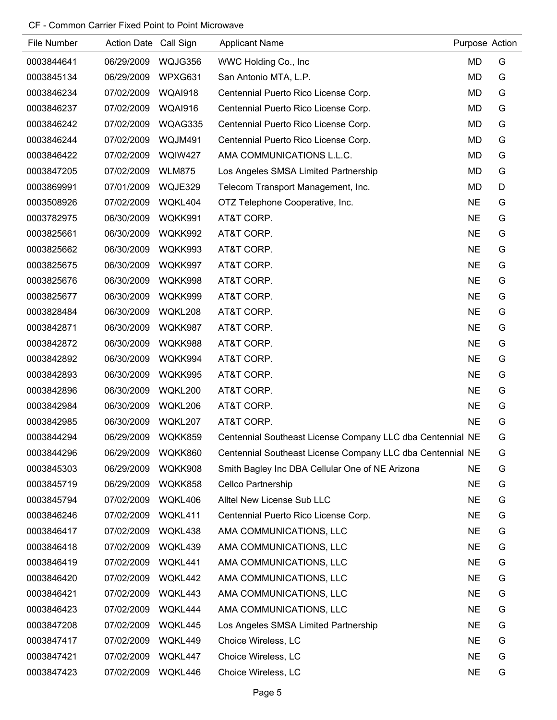# CF - Common Carrier Fixed Point to Point Microwave

| File Number | Action Date Call Sign |               | <b>Applicant Name</b>                                      | Purpose Action |   |
|-------------|-----------------------|---------------|------------------------------------------------------------|----------------|---|
| 0003844641  | 06/29/2009            | WQJG356       | WWC Holding Co., Inc                                       | MD             | G |
| 0003845134  | 06/29/2009            | WPXG631       | San Antonio MTA, L.P.                                      | MD             | G |
| 0003846234  | 07/02/2009            | WQAI918       | Centennial Puerto Rico License Corp.                       | MD             | G |
| 0003846237  | 07/02/2009            | WQAI916       | Centennial Puerto Rico License Corp.                       | <b>MD</b>      | G |
| 0003846242  | 07/02/2009            | WQAG335       | Centennial Puerto Rico License Corp.                       | MD             | G |
| 0003846244  | 07/02/2009            | WQJM491       | Centennial Puerto Rico License Corp.                       | <b>MD</b>      | G |
| 0003846422  | 07/02/2009            | WQIW427       | AMA COMMUNICATIONS L.L.C.                                  | MD             | G |
| 0003847205  | 07/02/2009            | <b>WLM875</b> | Los Angeles SMSA Limited Partnership                       | MD             | G |
| 0003869991  | 07/01/2009            | WQJE329       | Telecom Transport Management, Inc.                         | MD             | D |
| 0003508926  | 07/02/2009            | WQKL404       | OTZ Telephone Cooperative, Inc.                            | <b>NE</b>      | G |
| 0003782975  | 06/30/2009            | WQKK991       | AT&T CORP.                                                 | <b>NE</b>      | G |
| 0003825661  | 06/30/2009            | WQKK992       | AT&T CORP.                                                 | <b>NE</b>      | G |
| 0003825662  | 06/30/2009            | WQKK993       | AT&T CORP.                                                 | <b>NE</b>      | G |
| 0003825675  | 06/30/2009            | WQKK997       | AT&T CORP.                                                 | <b>NE</b>      | G |
| 0003825676  | 06/30/2009            | WQKK998       | AT&T CORP.                                                 | <b>NE</b>      | G |
| 0003825677  | 06/30/2009            | WQKK999       | AT&T CORP.                                                 | <b>NE</b>      | G |
| 0003828484  | 06/30/2009            | WQKL208       | AT&T CORP.                                                 | <b>NE</b>      | G |
| 0003842871  | 06/30/2009            | WQKK987       | AT&T CORP.                                                 | <b>NE</b>      | G |
| 0003842872  | 06/30/2009            | WQKK988       | AT&T CORP.                                                 | <b>NE</b>      | G |
| 0003842892  | 06/30/2009            | WQKK994       | AT&T CORP.                                                 | <b>NE</b>      | G |
| 0003842893  | 06/30/2009            | WQKK995       | AT&T CORP.                                                 | <b>NE</b>      | G |
| 0003842896  | 06/30/2009            | WQKL200       | AT&T CORP.                                                 | <b>NE</b>      | G |
| 0003842984  | 06/30/2009            | WQKL206       | AT&T CORP.                                                 | <b>NE</b>      | G |
| 0003842985  | 06/30/2009            | WQKL207       | AT&T CORP.                                                 | <b>NE</b>      | G |
| 0003844294  | 06/29/2009            | WQKK859       | Centennial Southeast License Company LLC dba Centennial NE |                | G |
| 0003844296  | 06/29/2009            | WQKK860       | Centennial Southeast License Company LLC dba Centennial NE |                | G |
| 0003845303  | 06/29/2009            | WQKK908       | Smith Bagley Inc DBA Cellular One of NE Arizona            | NE.            | G |
| 0003845719  | 06/29/2009            | WQKK858       | <b>Cellco Partnership</b>                                  | <b>NE</b>      | G |
| 0003845794  | 07/02/2009            | WQKL406       | Alltel New License Sub LLC                                 | <b>NE</b>      | G |
| 0003846246  | 07/02/2009            | WQKL411       | Centennial Puerto Rico License Corp.                       | <b>NE</b>      | G |
| 0003846417  | 07/02/2009            | WQKL438       | AMA COMMUNICATIONS, LLC                                    | <b>NE</b>      | G |
| 0003846418  | 07/02/2009            | WQKL439       | AMA COMMUNICATIONS, LLC                                    | <b>NE</b>      | G |
| 0003846419  | 07/02/2009            | WQKL441       | AMA COMMUNICATIONS, LLC                                    | <b>NE</b>      | G |
| 0003846420  | 07/02/2009            | WQKL442       | AMA COMMUNICATIONS, LLC                                    | <b>NE</b>      | G |
| 0003846421  | 07/02/2009            | WQKL443       | AMA COMMUNICATIONS, LLC                                    | <b>NE</b>      | G |
| 0003846423  | 07/02/2009            | WQKL444       | AMA COMMUNICATIONS, LLC                                    | <b>NE</b>      | G |
| 0003847208  | 07/02/2009            | WQKL445       | Los Angeles SMSA Limited Partnership                       | <b>NE</b>      | G |
| 0003847417  | 07/02/2009            | WQKL449       | Choice Wireless, LC                                        | <b>NE</b>      | G |
| 0003847421  | 07/02/2009            | WQKL447       | Choice Wireless, LC                                        | <b>NE</b>      | G |
| 0003847423  | 07/02/2009            | WQKL446       | Choice Wireless, LC                                        | <b>NE</b>      | G |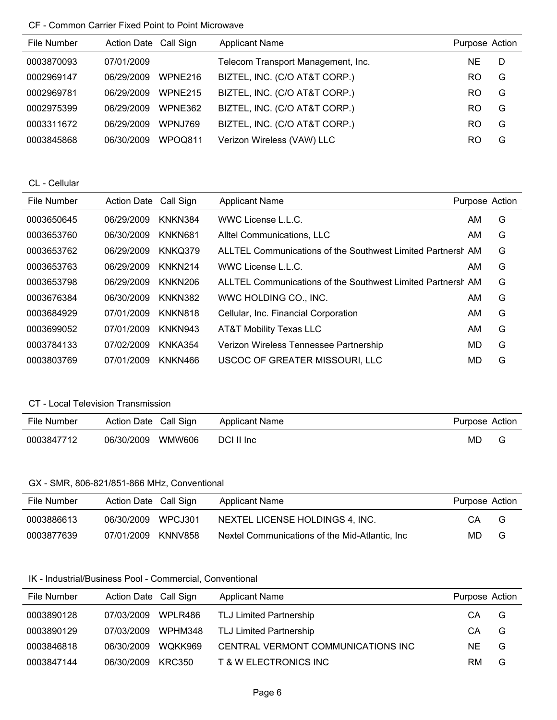# CF - Common Carrier Fixed Point to Point Microwave

| File Number | Action Date Call Sign |                 | <b>Applicant Name</b>              | Purpose Action |   |
|-------------|-----------------------|-----------------|------------------------------------|----------------|---|
| 0003870093  | 07/01/2009            |                 | Telecom Transport Management, Inc. | NE.            | D |
| 0002969147  | 06/29/2009            | WPNE216         | BIZTEL, INC. (C/O AT&T CORP.)      | RO             | G |
| 0002969781  | 06/29/2009            | WPNE215         | BIZTEL, INC. (C/O AT&T CORP.)      | R <sub>O</sub> | G |
| 0002975399  | 06/29/2009            | WPNE362         | BIZTEL, INC. (C/O AT&T CORP.)      | RO.            | G |
| 0003311672  | 06/29/2009            | <b>WPN.J769</b> | BIZTEL, INC. (C/O AT&T CORP.)      | RO             | G |
| 0003845868  | 06/30/2009            | WPOQ811         | Verizon Wireless (VAW) LLC         | RO             | G |

CL - Cellular

| File Number | <b>Action Date</b> | Call Sign           | <b>Applicant Name</b>                                       | Purpose Action |   |
|-------------|--------------------|---------------------|-------------------------------------------------------------|----------------|---|
| 0003650645  | 06/29/2009         | KNKN384             | WWC License L.L.C.                                          | AM.            | G |
| 0003653760  | 06/30/2009         | KNKN681             | Alltel Communications, LLC                                  | AM             | G |
| 0003653762  | 06/29/2009         | KNKQ379             | ALLTEL Communications of the Southwest Limited Partnersh AM |                | G |
| 0003653763  | 06/29/2009         | KNKN214             | WWC License L.L.C.                                          | AM.            | G |
| 0003653798  | 06/29/2009         | KNKN <sub>206</sub> | ALLTEL Communications of the Southwest Limited Partnersh AM |                | G |
| 0003676384  | 06/30/2009         | <b>KNKN382</b>      | WWC HOLDING CO., INC.                                       | AM.            | G |
| 0003684929  | 07/01/2009         | KNKN818             | Cellular, Inc. Financial Corporation                        | AM.            | G |
| 0003699052  | 07/01/2009         | KNKN943             | AT&T Mobility Texas LLC                                     | AM             | G |
| 0003784133  | 07/02/2009         | <b>KNKA354</b>      | Verizon Wireless Tennessee Partnership                      | MD             | G |
| 0003803769  | 07/01/2009         | KNKN466             | USCOC OF GREATER MISSOURI, LLC                              | MD             | G |

#### CT - Local Television Transmission

| File Number | Action Date Call Sign |        | <b>Applicant Name</b> | Purpose Action |   |
|-------------|-----------------------|--------|-----------------------|----------------|---|
| 0003847712  | 06/30/2009            | WMW606 | DCI II Inc            | MD             | G |

# GX - SMR, 806-821/851-866 MHz, Conventional

| File Number | Action Date Call Sign |          | <b>Applicant Name</b>                           | Purpose Action |   |
|-------------|-----------------------|----------|-------------------------------------------------|----------------|---|
| 0003886613  | 06/30/2009            | WPC.J301 | NEXTEL LICENSE HOLDINGS 4, INC.                 | CА             | G |
| 0003877639  | 07/01/2009            | KNNV858  | Nextel Communications of the Mid-Atlantic, Inc. | MD.            | G |

### IK - Industrial/Business Pool - Commercial, Conventional

| File Number | Action Date Call Sign |         | <b>Applicant Name</b>              | Purpose Action |    |
|-------------|-----------------------|---------|------------------------------------|----------------|----|
| 0003890128  | 07/03/2009 WPLR486    |         | TLJ Limited Partnership            | CA.            | G. |
| 0003890129  | 07/03/2009            | WPHM348 | TLJ Limited Partnership            | CA             | G  |
| 0003846818  | 06/30/2009            | WOKK969 | CENTRAL VERMONT COMMUNICATIONS INC | NF             | G  |
| 0003847144  | 06/30/2009            | KRC350  | <b>T &amp; W ELECTRONICS INC</b>   | RM.            | G  |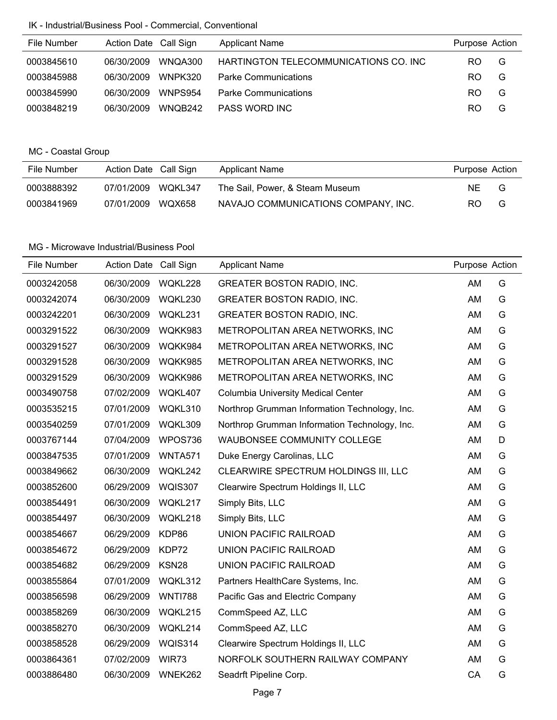# IK - Industrial/Business Pool - Commercial, Conventional

| File Number | Action Date Call Sign |         | <b>Applicant Name</b>                  | Purpose Action |   |
|-------------|-----------------------|---------|----------------------------------------|----------------|---|
| 0003845610  | 06/30/2009            | WNOA300 | HARTINGTON TELECOMMUNICATIONS CO. INC. | RO.            | G |
| 0003845988  | 06/30/2009            | WNPK320 | <b>Parke Communications</b>            | RO.            | G |
| 0003845990  | 06/30/2009            | WNPS954 | <b>Parke Communications</b>            | RO.            | G |
| 0003848219  | 06/30/2009            | WNOB242 | PASS WORD INC                          | RO.            | G |

# MC - Coastal Group

| File Number | Action Date Call Sign |        | <b>Applicant Name</b>               | Purpose Action |   |
|-------------|-----------------------|--------|-------------------------------------|----------------|---|
| 0003888392  | 07/01/2009 WQKL347    |        | The Sail, Power, & Steam Museum     | NE.            | G |
| 0003841969  | 07/01/2009            | WQX658 | NAVAJO COMMUNICATIONS COMPANY, INC. | RO.            | G |

| File Number | Action Date Call Sign |                | <b>Applicant Name</b>                         | Purpose Action |   |
|-------------|-----------------------|----------------|-----------------------------------------------|----------------|---|
| 0003242058  | 06/30/2009            | WQKL228        | <b>GREATER BOSTON RADIO, INC.</b>             | AM             | G |
| 0003242074  | 06/30/2009            | WQKL230        | <b>GREATER BOSTON RADIO, INC.</b>             | AM             | G |
| 0003242201  | 06/30/2009            | WQKL231        | <b>GREATER BOSTON RADIO, INC.</b>             | AM             | G |
| 0003291522  | 06/30/2009            | WQKK983        | METROPOLITAN AREA NETWORKS, INC               | AM             | G |
| 0003291527  | 06/30/2009            | WQKK984        | METROPOLITAN AREA NETWORKS, INC               | AM             | G |
| 0003291528  | 06/30/2009            | WQKK985        | METROPOLITAN AREA NETWORKS, INC               | AM             | G |
| 0003291529  | 06/30/2009            | WQKK986        | METROPOLITAN AREA NETWORKS, INC               | AM             | G |
| 0003490758  | 07/02/2009            | WQKL407        | <b>Columbia University Medical Center</b>     | AM             | G |
| 0003535215  | 07/01/2009            | WQKL310        | Northrop Grumman Information Technology, Inc. | AM             | G |
| 0003540259  | 07/01/2009            | WQKL309        | Northrop Grumman Information Technology, Inc. | AM             | G |
| 0003767144  | 07/04/2009            | WPOS736        | WAUBONSEE COMMUNITY COLLEGE                   | AM             | D |
| 0003847535  | 07/01/2009            | <b>WNTA571</b> | Duke Energy Carolinas, LLC                    | AM             | G |
| 0003849662  | 06/30/2009            | WQKL242        | CLEARWIRE SPECTRUM HOLDINGS III, LLC          | AM             | G |
| 0003852600  | 06/29/2009            | <b>WQIS307</b> | Clearwire Spectrum Holdings II, LLC           | AM             | G |
| 0003854491  | 06/30/2009            | WQKL217        | Simply Bits, LLC                              | AM             | G |
| 0003854497  | 06/30/2009            | WQKL218        | Simply Bits, LLC                              | AM             | G |
| 0003854667  | 06/29/2009            | KDP86          | <b>UNION PACIFIC RAILROAD</b>                 | AM             | G |
| 0003854672  | 06/29/2009            | KDP72          | <b>UNION PACIFIC RAILROAD</b>                 | AM             | G |
| 0003854682  | 06/29/2009            | KSN28          | UNION PACIFIC RAILROAD                        | AM             | G |
| 0003855864  | 07/01/2009            | WQKL312        | Partners HealthCare Systems, Inc.             | AM             | G |
| 0003856598  | 06/29/2009            | <b>WNTI788</b> | Pacific Gas and Electric Company              | AM             | G |
| 0003858269  | 06/30/2009            | WQKL215        | CommSpeed AZ, LLC                             | AM             | G |
| 0003858270  | 06/30/2009            | WQKL214        | CommSpeed AZ, LLC                             | AM             | G |
| 0003858528  | 06/29/2009            | WQIS314        | Clearwire Spectrum Holdings II, LLC           | AM             | G |
| 0003864361  | 07/02/2009            | WIR73          | NORFOLK SOUTHERN RAILWAY COMPANY              | AM             | G |
| 0003886480  | 06/30/2009            | WNEK262        | Seadrft Pipeline Corp.                        | CA             | G |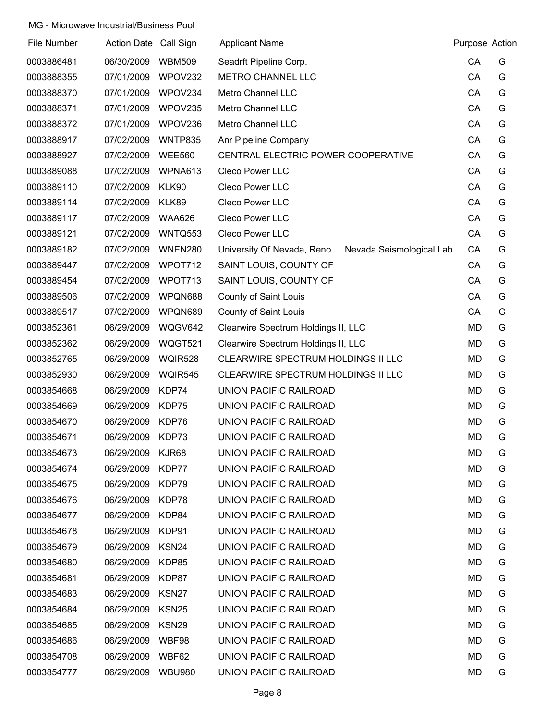| File Number | <b>Action Date</b> | Call Sign         | <b>Applicant Name</b>                                  | Purpose Action |   |
|-------------|--------------------|-------------------|--------------------------------------------------------|----------------|---|
| 0003886481  | 06/30/2009         | <b>WBM509</b>     | Seadrft Pipeline Corp.                                 | CA             | G |
| 0003888355  | 07/01/2009         | WPOV232           | METRO CHANNEL LLC                                      | CA             | G |
| 0003888370  | 07/01/2009         | WPOV234           | Metro Channel LLC                                      | CA             | G |
| 0003888371  | 07/01/2009         | WPOV235           | Metro Channel LLC                                      | CA             | G |
| 0003888372  | 07/01/2009         | WPOV236           | Metro Channel LLC                                      | CA             | G |
| 0003888917  | 07/02/2009         | <b>WNTP835</b>    | Anr Pipeline Company                                   | CA             | G |
| 0003888927  | 07/02/2009         | <b>WEE560</b>     | CENTRAL ELECTRIC POWER COOPERATIVE                     | CA             | G |
| 0003889088  | 07/02/2009         | WPNA613           | Cleco Power LLC                                        | CA             | G |
| 0003889110  | 07/02/2009         | KLK90             | Cleco Power LLC                                        | CA             | G |
| 0003889114  | 07/02/2009         | KLK89             | Cleco Power LLC                                        | CA             | G |
| 0003889117  | 07/02/2009         | <b>WAA626</b>     | Cleco Power LLC                                        | CA             | G |
| 0003889121  | 07/02/2009         | WNTQ553           | Cleco Power LLC                                        | CA             | G |
| 0003889182  | 07/02/2009         | WNEN280           | University Of Nevada, Reno<br>Nevada Seismological Lab | CA             | G |
| 0003889447  | 07/02/2009         | WPOT712           | SAINT LOUIS, COUNTY OF                                 | CA             | G |
| 0003889454  | 07/02/2009         | WPOT713           | SAINT LOUIS, COUNTY OF                                 | CA             | G |
| 0003889506  | 07/02/2009         | WPQN688           | County of Saint Louis                                  | CA             | G |
| 0003889517  | 07/02/2009         | WPQN689           | County of Saint Louis                                  | CA             | G |
| 0003852361  | 06/29/2009         | WQGV642           | Clearwire Spectrum Holdings II, LLC                    | <b>MD</b>      | G |
| 0003852362  | 06/29/2009         | WQGT521           | Clearwire Spectrum Holdings II, LLC                    | <b>MD</b>      | G |
| 0003852765  | 06/29/2009         | <b>WQIR528</b>    | CLEARWIRE SPECTRUM HOLDINGS II LLC                     | <b>MD</b>      | G |
| 0003852930  | 06/29/2009         | <b>WQIR545</b>    | CLEARWIRE SPECTRUM HOLDINGS II LLC                     | <b>MD</b>      | G |
| 0003854668  | 06/29/2009         | KDP74             | <b>UNION PACIFIC RAILROAD</b>                          | MD             | G |
| 0003854669  | 06/29/2009         | KDP75             | UNION PACIFIC RAILROAD                                 | <b>MD</b>      | G |
| 0003854670  | 06/29/2009         | KDP76             | UNION PACIFIC RAILROAD                                 | <b>MD</b>      | G |
| 0003854671  | 06/29/2009         | KDP73             | UNION PACIFIC RAILROAD                                 | <b>MD</b>      | G |
| 0003854673  | 06/29/2009         | KJR68             | UNION PACIFIC RAILROAD                                 | MD             | G |
| 0003854674  | 06/29/2009         | KDP77             | UNION PACIFIC RAILROAD                                 | MD             | G |
| 0003854675  | 06/29/2009         | KDP79             | UNION PACIFIC RAILROAD                                 | MD             | G |
| 0003854676  | 06/29/2009         | KDP78             | UNION PACIFIC RAILROAD                                 | MD             | G |
| 0003854677  | 06/29/2009         | KDP84             | UNION PACIFIC RAILROAD                                 | MD             | G |
| 0003854678  | 06/29/2009         | KDP91             | <b>UNION PACIFIC RAILROAD</b>                          | MD             | G |
| 0003854679  | 06/29/2009         | KSN24             | UNION PACIFIC RAILROAD                                 | MD             | G |
| 0003854680  | 06/29/2009         | KDP85             | UNION PACIFIC RAILROAD                                 | MD             | G |
| 0003854681  | 06/29/2009         | KDP87             | UNION PACIFIC RAILROAD                                 | MD             | G |
| 0003854683  | 06/29/2009         | KSN27             | UNION PACIFIC RAILROAD                                 | MD             | G |
| 0003854684  | 06/29/2009         | KSN <sub>25</sub> | UNION PACIFIC RAILROAD                                 | MD             | G |
| 0003854685  | 06/29/2009         | KSN <sub>29</sub> | UNION PACIFIC RAILROAD                                 | MD             | G |
| 0003854686  | 06/29/2009         | WBF98             | UNION PACIFIC RAILROAD                                 | MD             | G |
| 0003854708  | 06/29/2009         | WBF62             | UNION PACIFIC RAILROAD                                 | MD             | G |
| 0003854777  | 06/29/2009         | <b>WBU980</b>     | UNION PACIFIC RAILROAD                                 | MD             | G |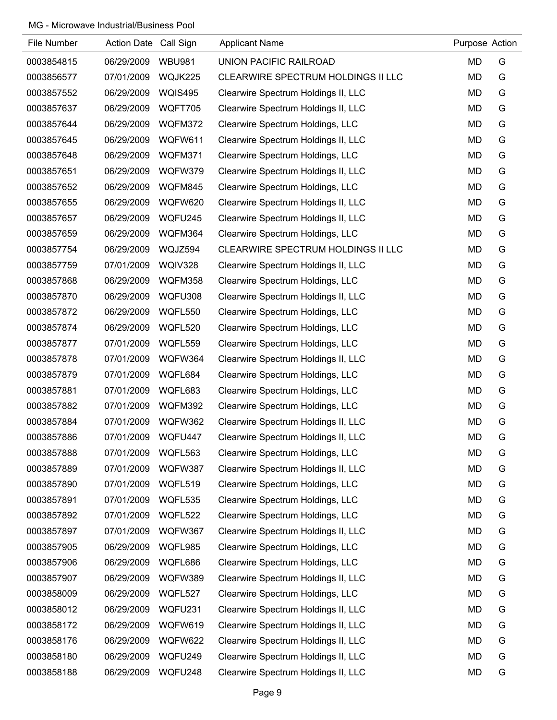| File Number | Action Date Call Sign |                | <b>Applicant Name</b>               | Purpose Action |   |
|-------------|-----------------------|----------------|-------------------------------------|----------------|---|
| 0003854815  | 06/29/2009            | <b>WBU981</b>  | UNION PACIFIC RAILROAD              | MD             | G |
| 0003856577  | 07/01/2009            | WQJK225        | CLEARWIRE SPECTRUM HOLDINGS II LLC  | MD             | G |
| 0003857552  | 06/29/2009            | <b>WQIS495</b> | Clearwire Spectrum Holdings II, LLC | MD             | G |
| 0003857637  | 06/29/2009            | WQFT705        | Clearwire Spectrum Holdings II, LLC | MD             | G |
| 0003857644  | 06/29/2009            | WQFM372        | Clearwire Spectrum Holdings, LLC    | MD             | G |
| 0003857645  | 06/29/2009            | WQFW611        | Clearwire Spectrum Holdings II, LLC | MD             | G |
| 0003857648  | 06/29/2009            | WQFM371        | Clearwire Spectrum Holdings, LLC    | MD             | G |
| 0003857651  | 06/29/2009            | WQFW379        | Clearwire Spectrum Holdings II, LLC | MD             | G |
| 0003857652  | 06/29/2009            | WQFM845        | Clearwire Spectrum Holdings, LLC    | MD             | G |
| 0003857655  | 06/29/2009            | WQFW620        | Clearwire Spectrum Holdings II, LLC | MD             | G |
| 0003857657  | 06/29/2009            | WQFU245        | Clearwire Spectrum Holdings II, LLC | MD             | G |
| 0003857659  | 06/29/2009            | WQFM364        | Clearwire Spectrum Holdings, LLC    | MD             | G |
| 0003857754  | 06/29/2009            | WQJZ594        | CLEARWIRE SPECTRUM HOLDINGS II LLC  | MD             | G |
| 0003857759  | 07/01/2009            | WQIV328        | Clearwire Spectrum Holdings II, LLC | MD             | G |
| 0003857868  | 06/29/2009            | WQFM358        | Clearwire Spectrum Holdings, LLC    | MD             | G |
| 0003857870  | 06/29/2009            | WQFU308        | Clearwire Spectrum Holdings II, LLC | MD             | G |
| 0003857872  | 06/29/2009            | WQFL550        | Clearwire Spectrum Holdings, LLC    | <b>MD</b>      | G |
| 0003857874  | 06/29/2009            | WQFL520        | Clearwire Spectrum Holdings, LLC    | MD             | G |
| 0003857877  | 07/01/2009            | WQFL559        | Clearwire Spectrum Holdings, LLC    | MD             | G |
| 0003857878  | 07/01/2009            | WQFW364        | Clearwire Spectrum Holdings II, LLC | MD             | G |
| 0003857879  | 07/01/2009            | WQFL684        | Clearwire Spectrum Holdings, LLC    | MD             | G |
| 0003857881  | 07/01/2009            | WQFL683        | Clearwire Spectrum Holdings, LLC    | MD             | G |
| 0003857882  | 07/01/2009            | WQFM392        | Clearwire Spectrum Holdings, LLC    | MD             | G |
| 0003857884  | 07/01/2009            | WQFW362        | Clearwire Spectrum Holdings II, LLC | <b>MD</b>      | G |
| 0003857886  | 07/01/2009            | WQFU447        | Clearwire Spectrum Holdings II, LLC | <b>MD</b>      | G |
| 0003857888  | 07/01/2009            | WQFL563        | Clearwire Spectrum Holdings, LLC    | MD             | G |
| 0003857889  | 07/01/2009            | WQFW387        | Clearwire Spectrum Holdings II, LLC | MD             | G |
| 0003857890  | 07/01/2009            | WQFL519        | Clearwire Spectrum Holdings, LLC    | MD             | G |
| 0003857891  | 07/01/2009            | WQFL535        | Clearwire Spectrum Holdings, LLC    | <b>MD</b>      | G |
| 0003857892  | 07/01/2009            | WQFL522        | Clearwire Spectrum Holdings, LLC    | MD             | G |
| 0003857897  | 07/01/2009            | WQFW367        | Clearwire Spectrum Holdings II, LLC | <b>MD</b>      | G |
| 0003857905  | 06/29/2009            | WQFL985        | Clearwire Spectrum Holdings, LLC    | MD             | G |
| 0003857906  | 06/29/2009            | WQFL686        | Clearwire Spectrum Holdings, LLC    | <b>MD</b>      | G |
| 0003857907  | 06/29/2009            | WQFW389        | Clearwire Spectrum Holdings II, LLC | MD             | G |
| 0003858009  | 06/29/2009            | WQFL527        | Clearwire Spectrum Holdings, LLC    | MD             | G |
| 0003858012  | 06/29/2009            | WQFU231        | Clearwire Spectrum Holdings II, LLC | MD             | G |
| 0003858172  | 06/29/2009            | WQFW619        | Clearwire Spectrum Holdings II, LLC | MD             | G |
| 0003858176  | 06/29/2009            | WQFW622        | Clearwire Spectrum Holdings II, LLC | MD             | G |
| 0003858180  | 06/29/2009            | WQFU249        | Clearwire Spectrum Holdings II, LLC | <b>MD</b>      | G |
| 0003858188  | 06/29/2009            | WQFU248        | Clearwire Spectrum Holdings II, LLC | MD             | G |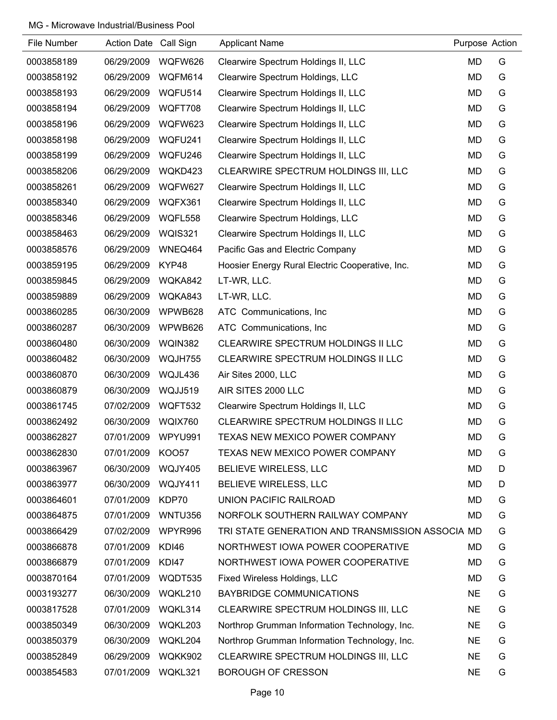| File Number | Action Date Call Sign |                | <b>Applicant Name</b>                            | Purpose Action |   |
|-------------|-----------------------|----------------|--------------------------------------------------|----------------|---|
| 0003858189  | 06/29/2009            | WQFW626        | Clearwire Spectrum Holdings II, LLC              | MD             | G |
| 0003858192  | 06/29/2009            | WQFM614        | Clearwire Spectrum Holdings, LLC                 | <b>MD</b>      | G |
| 0003858193  | 06/29/2009            | WQFU514        | Clearwire Spectrum Holdings II, LLC              | <b>MD</b>      | G |
| 0003858194  | 06/29/2009            | WQFT708        | Clearwire Spectrum Holdings II, LLC              | <b>MD</b>      | G |
| 0003858196  | 06/29/2009            | WQFW623        | Clearwire Spectrum Holdings II, LLC              | MD             | G |
| 0003858198  | 06/29/2009            | WQFU241        | Clearwire Spectrum Holdings II, LLC              | MD             | G |
| 0003858199  | 06/29/2009            | WQFU246        | Clearwire Spectrum Holdings II, LLC              | MD             | G |
| 0003858206  | 06/29/2009            | WQKD423        | CLEARWIRE SPECTRUM HOLDINGS III, LLC             | MD             | G |
| 0003858261  | 06/29/2009            | WQFW627        | Clearwire Spectrum Holdings II, LLC              | MD             | G |
| 0003858340  | 06/29/2009            | WQFX361        | Clearwire Spectrum Holdings II, LLC              | MD             | G |
| 0003858346  | 06/29/2009            | WQFL558        | Clearwire Spectrum Holdings, LLC                 | MD             | G |
| 0003858463  | 06/29/2009            | <b>WQIS321</b> | Clearwire Spectrum Holdings II, LLC              | MD             | G |
| 0003858576  | 06/29/2009            | WNEQ464        | Pacific Gas and Electric Company                 | MD             | G |
| 0003859195  | 06/29/2009            | KYP48          | Hoosier Energy Rural Electric Cooperative, Inc.  | MD             | G |
| 0003859845  | 06/29/2009            | WQKA842        | LT-WR, LLC.                                      | MD             | G |
| 0003859889  | 06/29/2009            | WQKA843        | LT-WR, LLC.                                      | MD             | G |
| 0003860285  | 06/30/2009            | WPWB628        | ATC Communications, Inc.                         | <b>MD</b>      | G |
| 0003860287  | 06/30/2009            | WPWB626        | ATC Communications, Inc.                         | MD             | G |
| 0003860480  | 06/30/2009            | WQIN382        | CLEARWIRE SPECTRUM HOLDINGS II LLC               | MD             | G |
| 0003860482  | 06/30/2009            | WQJH755        | CLEARWIRE SPECTRUM HOLDINGS II LLC               | MD             | G |
| 0003860870  | 06/30/2009            | WQJL436        | Air Sites 2000, LLC                              | <b>MD</b>      | G |
| 0003860879  | 06/30/2009            | WQJJ519        | AIR SITES 2000 LLC                               | MD             | G |
| 0003861745  | 07/02/2009            | WQFT532        | Clearwire Spectrum Holdings II, LLC              | MD             | G |
| 0003862492  | 06/30/2009            | WQIX760        | CLEARWIRE SPECTRUM HOLDINGS II LLC               | <b>MD</b>      | G |
| 0003862827  | 07/01/2009            | WPYU991        | TEXAS NEW MEXICO POWER COMPANY                   | <b>MD</b>      | G |
| 0003862830  | 07/01/2009            | <b>KOO57</b>   | TEXAS NEW MEXICO POWER COMPANY                   | MD             | G |
| 0003863967  | 06/30/2009            | WQJY405        | BELIEVE WIRELESS, LLC                            | <b>MD</b>      | D |
| 0003863977  | 06/30/2009            | WQJY411        | BELIEVE WIRELESS, LLC                            | <b>MD</b>      | D |
| 0003864601  | 07/01/2009            | KDP70          | UNION PACIFIC RAILROAD                           | MD             | G |
| 0003864875  | 07/01/2009            | WNTU356        | NORFOLK SOUTHERN RAILWAY COMPANY                 | <b>MD</b>      | G |
| 0003866429  | 07/02/2009            | WPYR996        | TRI STATE GENERATION AND TRANSMISSION ASSOCIA MD |                | G |
| 0003866878  | 07/01/2009            | KDI46          | NORTHWEST IOWA POWER COOPERATIVE                 | MD             | G |
| 0003866879  | 07/01/2009            | KDI47          | NORTHWEST IOWA POWER COOPERATIVE                 | <b>MD</b>      | G |
| 0003870164  | 07/01/2009            | WQDT535        | Fixed Wireless Holdings, LLC                     | MD             | G |
| 0003193277  | 06/30/2009            | WQKL210        | <b>BAYBRIDGE COMMUNICATIONS</b>                  | <b>NE</b>      | G |
| 0003817528  | 07/01/2009            | WQKL314        | CLEARWIRE SPECTRUM HOLDINGS III, LLC             | <b>NE</b>      | G |
| 0003850349  | 06/30/2009            | WQKL203        | Northrop Grumman Information Technology, Inc.    | <b>NE</b>      | G |
| 0003850379  | 06/30/2009            | WQKL204        | Northrop Grumman Information Technology, Inc.    | <b>NE</b>      | G |
| 0003852849  | 06/29/2009            | WQKK902        | CLEARWIRE SPECTRUM HOLDINGS III, LLC             | <b>NE</b>      | G |
| 0003854583  | 07/01/2009            | WQKL321        | <b>BOROUGH OF CRESSON</b>                        | <b>NE</b>      | G |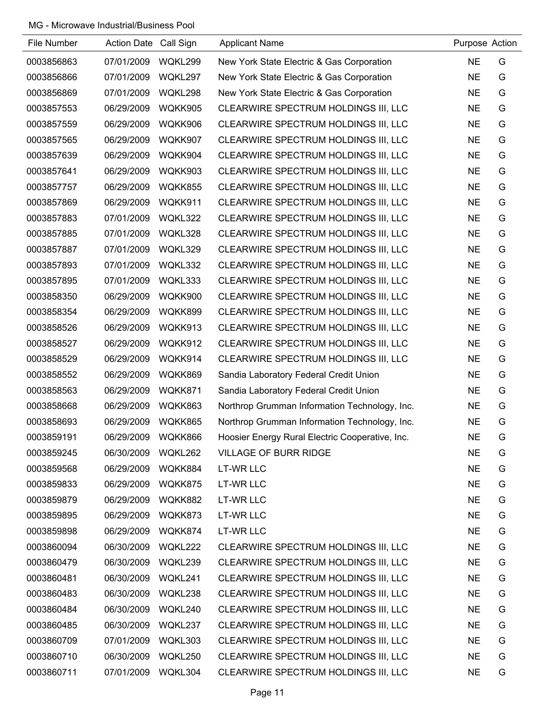| File Number | Action Date Call Sign |         | <b>Applicant Name</b>                           | Purpose Action |   |
|-------------|-----------------------|---------|-------------------------------------------------|----------------|---|
| 0003856863  | 07/01/2009            | WQKL299 | New York State Electric & Gas Corporation       | <b>NE</b>      | G |
| 0003856866  | 07/01/2009            | WQKL297 | New York State Electric & Gas Corporation       | <b>NE</b>      | G |
| 0003856869  | 07/01/2009            | WQKL298 | New York State Electric & Gas Corporation       | <b>NE</b>      | G |
| 0003857553  | 06/29/2009            | WQKK905 | CLEARWIRE SPECTRUM HOLDINGS III, LLC            | <b>NE</b>      | G |
| 0003857559  | 06/29/2009            | WQKK906 | CLEARWIRE SPECTRUM HOLDINGS III, LLC            | <b>NE</b>      | G |
| 0003857565  | 06/29/2009            | WQKK907 | CLEARWIRE SPECTRUM HOLDINGS III, LLC            | <b>NE</b>      | G |
| 0003857639  | 06/29/2009            | WQKK904 | CLEARWIRE SPECTRUM HOLDINGS III, LLC            | <b>NE</b>      | G |
| 0003857641  | 06/29/2009            | WQKK903 | CLEARWIRE SPECTRUM HOLDINGS III, LLC            | <b>NE</b>      | G |
| 0003857757  | 06/29/2009            | WQKK855 | CLEARWIRE SPECTRUM HOLDINGS III, LLC            | <b>NE</b>      | G |
| 0003857869  | 06/29/2009            | WQKK911 | CLEARWIRE SPECTRUM HOLDINGS III, LLC            | <b>NE</b>      | G |
| 0003857883  | 07/01/2009            | WQKL322 | CLEARWIRE SPECTRUM HOLDINGS III, LLC            | <b>NE</b>      | G |
| 0003857885  | 07/01/2009            | WQKL328 | CLEARWIRE SPECTRUM HOLDINGS III, LLC            | <b>NE</b>      | G |
| 0003857887  | 07/01/2009            | WQKL329 | CLEARWIRE SPECTRUM HOLDINGS III, LLC            | <b>NE</b>      | G |
| 0003857893  | 07/01/2009            | WQKL332 | CLEARWIRE SPECTRUM HOLDINGS III, LLC            | <b>NE</b>      | G |
| 0003857895  | 07/01/2009            | WQKL333 | CLEARWIRE SPECTRUM HOLDINGS III, LLC            | <b>NE</b>      | G |
| 0003858350  | 06/29/2009            | WQKK900 | CLEARWIRE SPECTRUM HOLDINGS III, LLC            | <b>NE</b>      | G |
| 0003858354  | 06/29/2009            | WQKK899 | CLEARWIRE SPECTRUM HOLDINGS III, LLC            | <b>NE</b>      | G |
| 0003858526  | 06/29/2009            | WQKK913 | CLEARWIRE SPECTRUM HOLDINGS III, LLC            | <b>NE</b>      | G |
| 0003858527  | 06/29/2009            | WQKK912 | CLEARWIRE SPECTRUM HOLDINGS III, LLC            | <b>NE</b>      | G |
| 0003858529  | 06/29/2009            | WQKK914 | CLEARWIRE SPECTRUM HOLDINGS III, LLC            | <b>NE</b>      | G |
| 0003858552  | 06/29/2009            | WQKK869 | Sandia Laboratory Federal Credit Union          | <b>NE</b>      | G |
| 0003858563  | 06/29/2009            | WQKK871 | Sandia Laboratory Federal Credit Union          | <b>NE</b>      | G |
| 0003858668  | 06/29/2009            | WQKK863 | Northrop Grumman Information Technology, Inc.   | <b>NE</b>      | G |
| 0003858693  | 06/29/2009            | WQKK865 | Northrop Grumman Information Technology, Inc.   | <b>NE</b>      | G |
| 0003859191  | 06/29/2009            | WQKK866 | Hoosier Energy Rural Electric Cooperative, Inc. | <b>NE</b>      | G |
| 0003859245  | 06/30/2009            | WQKL262 | <b>VILLAGE OF BURR RIDGE</b>                    | <b>NE</b>      | G |
| 0003859568  | 06/29/2009            | WQKK884 | LT-WR LLC                                       | <b>NE</b>      | G |
| 0003859833  | 06/29/2009            | WQKK875 | LT-WR LLC                                       | <b>NE</b>      | G |
| 0003859879  | 06/29/2009            | WQKK882 | <b>LT-WR LLC</b>                                | <b>NE</b>      | G |
| 0003859895  | 06/29/2009            | WQKK873 | <b>LT-WR LLC</b>                                | <b>NE</b>      | G |
| 0003859898  | 06/29/2009            | WQKK874 | <b>LT-WR LLC</b>                                | <b>NE</b>      | G |
| 0003860094  | 06/30/2009            | WQKL222 | CLEARWIRE SPECTRUM HOLDINGS III, LLC            | <b>NE</b>      | G |
| 0003860479  | 06/30/2009            | WQKL239 | CLEARWIRE SPECTRUM HOLDINGS III, LLC            | <b>NE</b>      | G |
| 0003860481  | 06/30/2009            | WQKL241 | CLEARWIRE SPECTRUM HOLDINGS III, LLC            | <b>NE</b>      | G |
| 0003860483  | 06/30/2009            | WQKL238 | CLEARWIRE SPECTRUM HOLDINGS III, LLC            | <b>NE</b>      | G |
| 0003860484  | 06/30/2009            | WQKL240 | CLEARWIRE SPECTRUM HOLDINGS III, LLC            | <b>NE</b>      | G |
| 0003860485  | 06/30/2009            | WQKL237 | CLEARWIRE SPECTRUM HOLDINGS III, LLC            | <b>NE</b>      | G |
| 0003860709  | 07/01/2009            | WQKL303 | CLEARWIRE SPECTRUM HOLDINGS III, LLC            | <b>NE</b>      | G |
| 0003860710  | 06/30/2009            | WQKL250 | CLEARWIRE SPECTRUM HOLDINGS III, LLC            | <b>NE</b>      | G |
| 0003860711  | 07/01/2009            | WQKL304 | CLEARWIRE SPECTRUM HOLDINGS III, LLC            | <b>NE</b>      | G |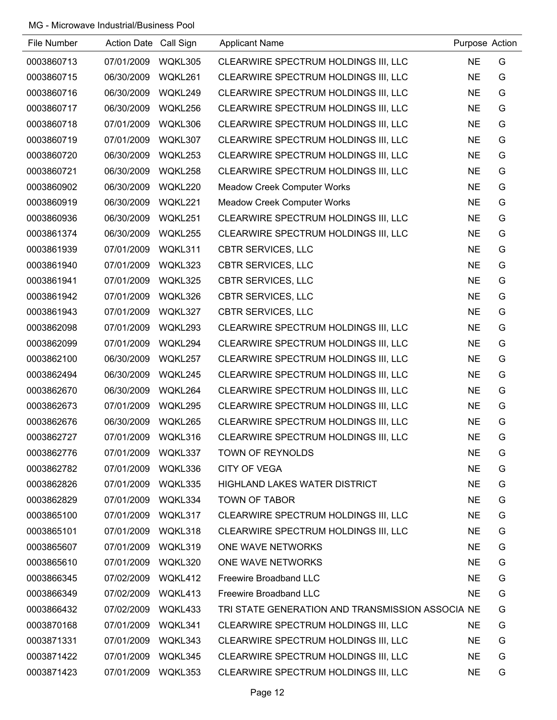| File Number | Action Date Call Sign |         | <b>Applicant Name</b>                            | Purpose Action |   |
|-------------|-----------------------|---------|--------------------------------------------------|----------------|---|
| 0003860713  | 07/01/2009            | WQKL305 | CLEARWIRE SPECTRUM HOLDINGS III, LLC             | <b>NE</b>      | G |
| 0003860715  | 06/30/2009            | WQKL261 | CLEARWIRE SPECTRUM HOLDINGS III, LLC             | <b>NE</b>      | G |
| 0003860716  | 06/30/2009            | WQKL249 | CLEARWIRE SPECTRUM HOLDINGS III, LLC             | <b>NE</b>      | G |
| 0003860717  | 06/30/2009            | WQKL256 | CLEARWIRE SPECTRUM HOLDINGS III, LLC             | <b>NE</b>      | G |
| 0003860718  | 07/01/2009            | WQKL306 | CLEARWIRE SPECTRUM HOLDINGS III, LLC             | <b>NE</b>      | G |
| 0003860719  | 07/01/2009            | WQKL307 | CLEARWIRE SPECTRUM HOLDINGS III, LLC             | <b>NE</b>      | G |
| 0003860720  | 06/30/2009            | WQKL253 | CLEARWIRE SPECTRUM HOLDINGS III, LLC             | <b>NE</b>      | G |
| 0003860721  | 06/30/2009            | WQKL258 | CLEARWIRE SPECTRUM HOLDINGS III, LLC             | <b>NE</b>      | G |
| 0003860902  | 06/30/2009            | WQKL220 | <b>Meadow Creek Computer Works</b>               | <b>NE</b>      | G |
| 0003860919  | 06/30/2009            | WQKL221 | <b>Meadow Creek Computer Works</b>               | <b>NE</b>      | G |
| 0003860936  | 06/30/2009            | WQKL251 | CLEARWIRE SPECTRUM HOLDINGS III, LLC             | <b>NE</b>      | G |
| 0003861374  | 06/30/2009            | WQKL255 | CLEARWIRE SPECTRUM HOLDINGS III, LLC             | <b>NE</b>      | G |
| 0003861939  | 07/01/2009            | WQKL311 | <b>CBTR SERVICES, LLC</b>                        | <b>NE</b>      | G |
| 0003861940  | 07/01/2009            | WQKL323 | <b>CBTR SERVICES, LLC</b>                        | <b>NE</b>      | G |
| 0003861941  | 07/01/2009            | WQKL325 | <b>CBTR SERVICES, LLC</b>                        | <b>NE</b>      | G |
| 0003861942  | 07/01/2009            | WQKL326 | <b>CBTR SERVICES, LLC</b>                        | <b>NE</b>      | G |
| 0003861943  | 07/01/2009            | WQKL327 | <b>CBTR SERVICES, LLC</b>                        | <b>NE</b>      | G |
| 0003862098  | 07/01/2009            | WQKL293 | CLEARWIRE SPECTRUM HOLDINGS III, LLC             | <b>NE</b>      | G |
| 0003862099  | 07/01/2009            | WQKL294 | CLEARWIRE SPECTRUM HOLDINGS III, LLC             | <b>NE</b>      | G |
| 0003862100  | 06/30/2009            | WQKL257 | CLEARWIRE SPECTRUM HOLDINGS III, LLC             | <b>NE</b>      | G |
| 0003862494  | 06/30/2009            | WQKL245 | CLEARWIRE SPECTRUM HOLDINGS III, LLC             | <b>NE</b>      | G |
| 0003862670  | 06/30/2009            | WQKL264 | CLEARWIRE SPECTRUM HOLDINGS III, LLC             | <b>NE</b>      | G |
| 0003862673  | 07/01/2009            | WQKL295 | CLEARWIRE SPECTRUM HOLDINGS III, LLC             | <b>NE</b>      | G |
| 0003862676  | 06/30/2009            | WQKL265 | CLEARWIRE SPECTRUM HOLDINGS III, LLC             | <b>NE</b>      | G |
| 0003862727  | 07/01/2009            | WQKL316 | CLEARWIRE SPECTRUM HOLDINGS III, LLC             | <b>NE</b>      | G |
| 0003862776  | 07/01/2009            | WQKL337 | <b>TOWN OF REYNOLDS</b>                          | <b>NE</b>      | G |
| 0003862782  | 07/01/2009            | WQKL336 | <b>CITY OF VEGA</b>                              | <b>NE</b>      | G |
| 0003862826  | 07/01/2009            | WQKL335 | <b>HIGHLAND LAKES WATER DISTRICT</b>             | <b>NE</b>      | G |
| 0003862829  | 07/01/2009            | WQKL334 | <b>TOWN OF TABOR</b>                             | <b>NE</b>      | G |
| 0003865100  | 07/01/2009            | WQKL317 | CLEARWIRE SPECTRUM HOLDINGS III, LLC             | <b>NE</b>      | G |
| 0003865101  | 07/01/2009            | WQKL318 | CLEARWIRE SPECTRUM HOLDINGS III, LLC             | <b>NE</b>      | G |
| 0003865607  | 07/01/2009            | WQKL319 | ONE WAVE NETWORKS                                | <b>NE</b>      | G |
| 0003865610  | 07/01/2009            | WQKL320 | ONE WAVE NETWORKS                                | <b>NE</b>      | G |
| 0003866345  | 07/02/2009            | WQKL412 | Freewire Broadband LLC                           | <b>NE</b>      | G |
| 0003866349  | 07/02/2009            | WQKL413 | Freewire Broadband LLC                           | <b>NE</b>      | G |
| 0003866432  | 07/02/2009            | WQKL433 | TRI STATE GENERATION AND TRANSMISSION ASSOCIA NE |                | G |
| 0003870168  | 07/01/2009            | WQKL341 | CLEARWIRE SPECTRUM HOLDINGS III, LLC             | <b>NE</b>      | G |
| 0003871331  | 07/01/2009            | WQKL343 | CLEARWIRE SPECTRUM HOLDINGS III, LLC             | <b>NE</b>      | G |
| 0003871422  | 07/01/2009            | WQKL345 | CLEARWIRE SPECTRUM HOLDINGS III, LLC             | <b>NE</b>      | G |
| 0003871423  | 07/01/2009            | WQKL353 | CLEARWIRE SPECTRUM HOLDINGS III, LLC             | <b>NE</b>      | G |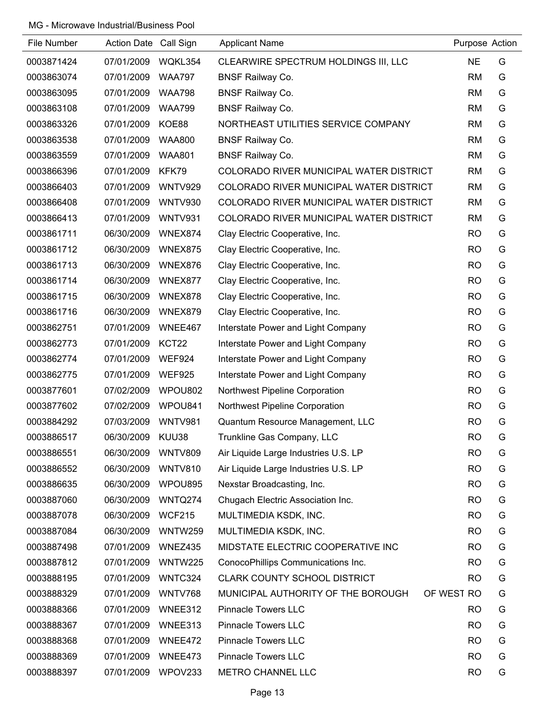| File Number | Action Date Call Sign |                | <b>Applicant Name</b>                   | Purpose Action |   |
|-------------|-----------------------|----------------|-----------------------------------------|----------------|---|
| 0003871424  | 07/01/2009            | WQKL354        | CLEARWIRE SPECTRUM HOLDINGS III, LLC    | <b>NE</b>      | G |
| 0003863074  | 07/01/2009            | <b>WAA797</b>  | <b>BNSF Railway Co.</b>                 | <b>RM</b>      | G |
| 0003863095  | 07/01/2009            | <b>WAA798</b>  | <b>BNSF Railway Co.</b>                 | <b>RM</b>      | G |
| 0003863108  | 07/01/2009            | <b>WAA799</b>  | <b>BNSF Railway Co.</b>                 | <b>RM</b>      | G |
| 0003863326  | 07/01/2009            | KOE88          | NORTHEAST UTILITIES SERVICE COMPANY     | <b>RM</b>      | G |
| 0003863538  | 07/01/2009            | <b>WAA800</b>  | <b>BNSF Railway Co.</b>                 | <b>RM</b>      | G |
| 0003863559  | 07/01/2009            | <b>WAA801</b>  | <b>BNSF Railway Co.</b>                 | <b>RM</b>      | G |
| 0003866396  | 07/01/2009            | KFK79          | COLORADO RIVER MUNICIPAL WATER DISTRICT | <b>RM</b>      | G |
| 0003866403  | 07/01/2009            | <b>WNTV929</b> | COLORADO RIVER MUNICIPAL WATER DISTRICT | <b>RM</b>      | G |
| 0003866408  | 07/01/2009            | <b>WNTV930</b> | COLORADO RIVER MUNICIPAL WATER DISTRICT | <b>RM</b>      | G |
| 0003866413  | 07/01/2009            | WNTV931        | COLORADO RIVER MUNICIPAL WATER DISTRICT | <b>RM</b>      | G |
| 0003861711  | 06/30/2009            | WNEX874        | Clay Electric Cooperative, Inc.         | <b>RO</b>      | G |
| 0003861712  | 06/30/2009            | WNEX875        | Clay Electric Cooperative, Inc.         | <b>RO</b>      | G |
| 0003861713  | 06/30/2009            | WNEX876        | Clay Electric Cooperative, Inc.         | <b>RO</b>      | G |
| 0003861714  | 06/30/2009            | WNEX877        | Clay Electric Cooperative, Inc.         | <b>RO</b>      | G |
| 0003861715  | 06/30/2009            | WNEX878        | Clay Electric Cooperative, Inc.         | <b>RO</b>      | G |
| 0003861716  | 06/30/2009            | WNEX879        | Clay Electric Cooperative, Inc.         | <b>RO</b>      | G |
| 0003862751  | 07/01/2009            | WNEE467        | Interstate Power and Light Company      | <b>RO</b>      | G |
| 0003862773  | 07/01/2009            | KCT22          | Interstate Power and Light Company      | <b>RO</b>      | G |
| 0003862774  | 07/01/2009            | <b>WEF924</b>  | Interstate Power and Light Company      | <b>RO</b>      | G |
| 0003862775  | 07/01/2009            | <b>WEF925</b>  | Interstate Power and Light Company      | <b>RO</b>      | G |
| 0003877601  | 07/02/2009            | WPOU802        | Northwest Pipeline Corporation          | <b>RO</b>      | G |
| 0003877602  | 07/02/2009            | WPOU841        | Northwest Pipeline Corporation          | <b>RO</b>      | G |
| 0003884292  | 07/03/2009            | <b>WNTV981</b> | Quantum Resource Management, LLC        | <b>RO</b>      | G |
| 0003886517  | 06/30/2009            | KUU38          | Trunkline Gas Company, LLC              | <b>RO</b>      | G |
| 0003886551  | 06/30/2009            | <b>WNTV809</b> | Air Liquide Large Industries U.S. LP    | <b>RO</b>      | G |
| 0003886552  | 06/30/2009            | WNTV810        | Air Liquide Large Industries U.S. LP    | <b>RO</b>      | G |
| 0003886635  | 06/30/2009            | WPOU895        | Nexstar Broadcasting, Inc.              | <b>RO</b>      | G |
| 0003887060  | 06/30/2009            | WNTQ274        | Chugach Electric Association Inc.       | <b>RO</b>      | G |
| 0003887078  | 06/30/2009            | <b>WCF215</b>  | MULTIMEDIA KSDK, INC.                   | <b>RO</b>      | G |
| 0003887084  | 06/30/2009            | WNTW259        | MULTIMEDIA KSDK, INC.                   | <b>RO</b>      | G |
| 0003887498  | 07/01/2009            | WNEZ435        | MIDSTATE ELECTRIC COOPERATIVE INC       | <b>RO</b>      | G |
| 0003887812  | 07/01/2009            | WNTW225        | ConocoPhillips Communications Inc.      | <b>RO</b>      | G |
| 0003888195  | 07/01/2009            | WNTC324        | <b>CLARK COUNTY SCHOOL DISTRICT</b>     | <b>RO</b>      | G |
| 0003888329  | 07/01/2009            | WNTV768        | MUNICIPAL AUTHORITY OF THE BOROUGH      | OF WEST RO     | G |
| 0003888366  | 07/01/2009            | WNEE312        | <b>Pinnacle Towers LLC</b>              | <b>RO</b>      | G |
| 0003888367  | 07/01/2009            | WNEE313        | <b>Pinnacle Towers LLC</b>              | <b>RO</b>      | G |
| 0003888368  | 07/01/2009            | WNEE472        | <b>Pinnacle Towers LLC</b>              | <b>RO</b>      | G |
| 0003888369  | 07/01/2009            | WNEE473        | <b>Pinnacle Towers LLC</b>              | <b>RO</b>      | G |
| 0003888397  | 07/01/2009            | WPOV233        | METRO CHANNEL LLC                       | <b>RO</b>      | G |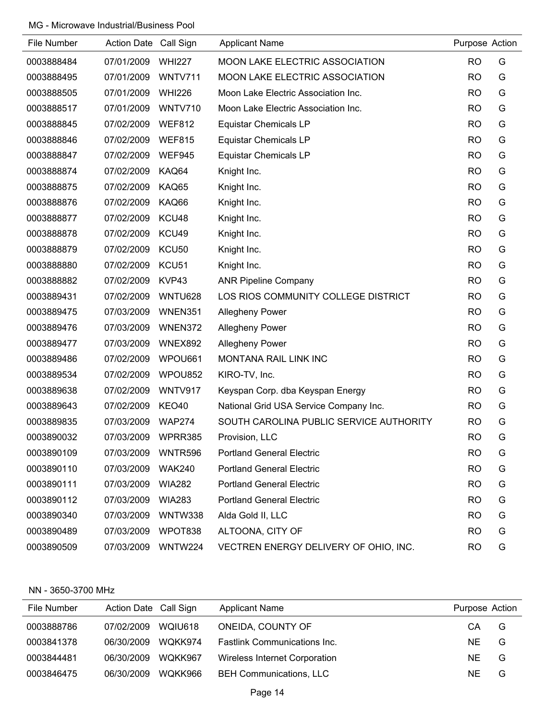| File Number | Action Date Call Sign |                   | <b>Applicant Name</b>                   | Purpose Action |   |
|-------------|-----------------------|-------------------|-----------------------------------------|----------------|---|
| 0003888484  | 07/01/2009            | <b>WHI227</b>     | <b>MOON LAKE ELECTRIC ASSOCIATION</b>   | <b>RO</b>      | G |
| 0003888495  | 07/01/2009            | <b>WNTV711</b>    | MOON LAKE ELECTRIC ASSOCIATION          | <b>RO</b>      | G |
| 0003888505  | 07/01/2009            | <b>WHI226</b>     | Moon Lake Electric Association Inc.     | <b>RO</b>      | G |
| 0003888517  | 07/01/2009            | WNTV710           | Moon Lake Electric Association Inc.     | <b>RO</b>      | G |
| 0003888845  | 07/02/2009            | <b>WEF812</b>     | <b>Equistar Chemicals LP</b>            | <b>RO</b>      | G |
| 0003888846  | 07/02/2009            | <b>WEF815</b>     | <b>Equistar Chemicals LP</b>            | <b>RO</b>      | G |
| 0003888847  | 07/02/2009            | <b>WEF945</b>     | <b>Equistar Chemicals LP</b>            | <b>RO</b>      | G |
| 0003888874  | 07/02/2009            | KAQ64             | Knight Inc.                             | <b>RO</b>      | G |
| 0003888875  | 07/02/2009            | KAQ65             | Knight Inc.                             | <b>RO</b>      | G |
| 0003888876  | 07/02/2009            | KAQ66             | Knight Inc.                             | <b>RO</b>      | G |
| 0003888877  | 07/02/2009            | KCU48             | Knight Inc.                             | <b>RO</b>      | G |
| 0003888878  | 07/02/2009            | KCU49             | Knight Inc.                             | <b>RO</b>      | G |
| 0003888879  | 07/02/2009            | KCU50             | Knight Inc.                             | <b>RO</b>      | G |
| 0003888880  | 07/02/2009            | KCU <sub>51</sub> | Knight Inc.                             | <b>RO</b>      | G |
| 0003888882  | 07/02/2009            | KVP43             | <b>ANR Pipeline Company</b>             | <b>RO</b>      | G |
| 0003889431  | 07/02/2009            | WNTU628           | LOS RIOS COMMUNITY COLLEGE DISTRICT     | <b>RO</b>      | G |
| 0003889475  | 07/03/2009            | WNEN351           | <b>Allegheny Power</b>                  | <b>RO</b>      | G |
| 0003889476  | 07/03/2009            | WNEN372           | <b>Allegheny Power</b>                  | <b>RO</b>      | G |
| 0003889477  | 07/03/2009            | WNEX892           | <b>Allegheny Power</b>                  | <b>RO</b>      | G |
| 0003889486  | 07/02/2009            | WPOU661           | MONTANA RAIL LINK INC                   | <b>RO</b>      | G |
| 0003889534  | 07/02/2009            | WPOU852           | KIRO-TV, Inc.                           | <b>RO</b>      | G |
| 0003889638  | 07/02/2009            | WNTV917           | Keyspan Corp. dba Keyspan Energy        | <b>RO</b>      | G |
| 0003889643  | 07/02/2009            | KEO40             | National Grid USA Service Company Inc.  | <b>RO</b>      | G |
| 0003889835  | 07/03/2009            | <b>WAP274</b>     | SOUTH CAROLINA PUBLIC SERVICE AUTHORITY | <b>RO</b>      | G |
| 0003890032  | 07/03/2009            | WPRR385           | Provision, LLC                          | <b>RO</b>      | G |
| 0003890109  | 07/03/2009            | WNTR596           | <b>Portland General Electric</b>        | <b>RO</b>      | G |
| 0003890110  | 07/03/2009            | <b>WAK240</b>     | <b>Portland General Electric</b>        | <b>RO</b>      | G |
| 0003890111  | 07/03/2009            | <b>WIA282</b>     | <b>Portland General Electric</b>        | <b>RO</b>      | G |
| 0003890112  | 07/03/2009            | <b>WIA283</b>     | <b>Portland General Electric</b>        | <b>RO</b>      | G |
| 0003890340  | 07/03/2009            | WNTW338           | Alda Gold II, LLC                       | <b>RO</b>      | G |
| 0003890489  | 07/03/2009            | WPOT838           | ALTOONA, CITY OF                        | <b>RO</b>      | G |
| 0003890509  | 07/03/2009            | WNTW224           | VECTREN ENERGY DELIVERY OF OHIO, INC.   | <b>RO</b>      | G |

### NN - 3650-3700 MHz

| File Number | Action Date Call Sign |         | <b>Applicant Name</b>               | Purpose Action |   |
|-------------|-----------------------|---------|-------------------------------------|----------------|---|
| 0003888786  | 07/02/2009            | WQIU618 | ONEIDA, COUNTY OF                   | CA             | G |
| 0003841378  | 06/30/2009            | WQKK974 | <b>Fastlink Communications Inc.</b> | NF.            | G |
| 0003844481  | 06/30/2009            | WOKK967 | Wireless Internet Corporation       | NF.            | G |
| 0003846475  | 06/30/2009            | WQKK966 | <b>BEH Communications, LLC</b>      | NE.            | G |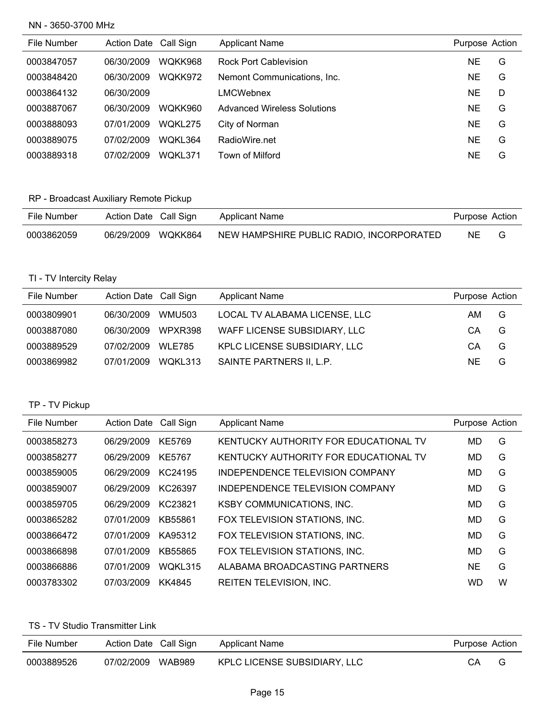### NN - 3650-3700 MHz

| File Number | Action Date Call Sign |                | <b>Applicant Name</b>              | Purpose Action |   |
|-------------|-----------------------|----------------|------------------------------------|----------------|---|
| 0003847057  | 06/30/2009            | WOKK968        | <b>Rock Port Cablevision</b>       | NE.            | G |
| 0003848420  | 06/30/2009            | WQKK972        | Nemont Communications, Inc.        | <b>NE</b>      | G |
| 0003864132  | 06/30/2009            |                | LMCWebnex                          | <b>NE</b>      | D |
| 0003887067  | 06/30/2009            | WOKK960        | <b>Advanced Wireless Solutions</b> | <b>NE</b>      | G |
| 0003888093  | 07/01/2009            | <b>WOKL275</b> | City of Norman                     | <b>NE</b>      | G |
| 0003889075  | 07/02/2009            | WOKL364        | RadioWire.net                      | NE             | G |
| 0003889318  | 07/02/2009            | WOKL371        | Town of Milford                    | ΝE             | G |

# RP - Broadcast Auxiliary Remote Pickup

| File Number | Action Date Call Sign | Applicant Name                           | Purpose Action |   |
|-------------|-----------------------|------------------------------------------|----------------|---|
| 0003862059  | 06/29/2009 WQKK864    | NEW HAMPSHIRE PUBLIC RADIO, INCORPORATED | NE.            | G |

# TI - TV Intercity Relay

| File Number | Action Date Call Sign |               | <b>Applicant Name</b>         | Purpose Action |   |
|-------------|-----------------------|---------------|-------------------------------|----------------|---|
| 0003809901  | 06/30/2009            | <b>WMU503</b> | LOCAL TV ALABAMA LICENSE, LLC | AM.            | G |
| 0003887080  | 06/30/2009            | WPXR398       | WAFF LICENSE SUBSIDIARY, LLC  | CА             | G |
| 0003889529  | 07/02/2009            | <b>WLE785</b> | KPLC LICENSE SUBSIDIARY, LLC  | СA             | G |
| 0003869982  | 07/01/2009            | WOKL313       | SAINTE PARTNERS II, L.P.      | NF.            | G |

# TP - TV Pickup

| File Number | Action Date Call Sign |                | <b>Applicant Name</b>                 | Purpose Action |   |
|-------------|-----------------------|----------------|---------------------------------------|----------------|---|
| 0003858273  | 06/29/2009            | KE5769         | KENTUCKY AUTHORITY FOR EDUCATIONAL TV | MD             | G |
| 0003858277  | 06/29/2009            | KE5767         | KENTUCKY AUTHORITY FOR EDUCATIONAL TV | MD             | G |
| 0003859005  | 06/29/2009            | KC24195        | INDEPENDENCE TELEVISION COMPANY       | MD             | G |
| 0003859007  | 06/29/2009            | KC26397        | INDEPENDENCE TELEVISION COMPANY       | MD             | G |
| 0003859705  | 06/29/2009            | KC23821        | <b>KSBY COMMUNICATIONS, INC.</b>      | MD             | G |
| 0003865282  | 07/01/2009            | KB55861        | FOX TELEVISION STATIONS, INC.         | MD             | G |
| 0003866472  | 07/01/2009            | KA95312        | FOX TELEVISION STATIONS, INC.         | MD             | G |
| 0003866898  | 07/01/2009            | KB55865        | FOX TELEVISION STATIONS, INC.         | MD             | G |
| 0003866886  | 07/01/2009            | <b>WOKL315</b> | ALABAMA BROADCASTING PARTNERS         | <b>NE</b>      | G |
| 0003783302  | 07/03/2009            | KK4845         | REITEN TELEVISION. INC.               | WD             | W |

# TS - TV Studio Transmitter Link

| File Number | Action Date Call Sign |        | Applicant Name               | Purpose Action |  |
|-------------|-----------------------|--------|------------------------------|----------------|--|
| 0003889526  | 07/02/2009            | WAB989 | KPLC LICENSE SUBSIDIARY, LLC | CA             |  |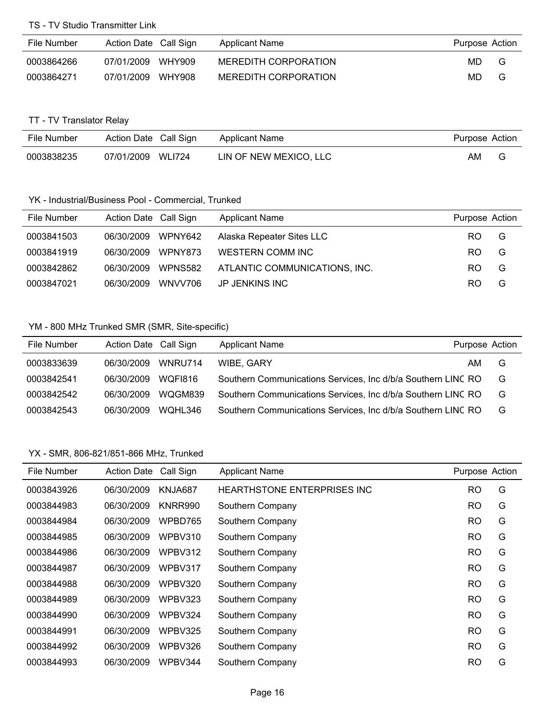### TS - TV Studio Transmitter Link

| File Number | Action Date Call Sign |        | Applicant Name       | Purpose Action |   |
|-------------|-----------------------|--------|----------------------|----------------|---|
| 0003864266  | 07/01/2009            | WHY909 | MEREDITH CORPORATION | MD.            | G |
| 0003864271  | 07/01/2009            | WHY908 | MEREDITH CORPORATION | MD.            | G |

# TT - TV Translator Relay

| File Number | Action Date Call Sign |               | Applicant Name         | Purpose Action |  |
|-------------|-----------------------|---------------|------------------------|----------------|--|
| 0003838235  | 07/01/2009            | <b>WLI724</b> | LIN OF NEW MEXICO, LLC | AM             |  |

# YK - Industrial/Business Pool - Commercial, Trunked

| File Number | Action Date Call Sign |         | <b>Applicant Name</b>         | Purpose Action |   |
|-------------|-----------------------|---------|-------------------------------|----------------|---|
| 0003841503  | 06/30/2009 WPNY642    |         | Alaska Repeater Sites LLC     | RO.            | G |
| 0003841919  | 06/30/2009            | WPNY873 | WESTERN COMM INC              | RO.            | G |
| 0003842862  | 06/30/2009            | WPNS582 | ATLANTIC COMMUNICATIONS, INC. | RO.            | G |
| 0003847021  | 06/30/2009            | WNVV706 | JP JENKINS INC                | RO.            | G |

#### YM - 800 MHz Trunked SMR (SMR, Site-specific)

| File Number | Action Date Call Sign |         | <b>Applicant Name</b>                                        | Purpose Action |   |
|-------------|-----------------------|---------|--------------------------------------------------------------|----------------|---|
| 0003833639  | 06/30/2009            | WNRU714 | WIBE, GARY                                                   | AM             | G |
| 0003842541  | 06/30/2009            | WOFI816 | Southern Communications Services, Inc d/b/a Southern LINC RO |                | G |
| 0003842542  | 06/30/2009            | WQGM839 | Southern Communications Services, Inc d/b/a Southern LINC RO |                | G |
| 0003842543  | 06/30/2009            | WOHL346 | Southern Communications Services, Inc d/b/a Southern LINC RO |                | G |

| File Number | <b>Action Date</b> | Call Sign | <b>Applicant Name</b>              | Purpose Action |   |
|-------------|--------------------|-----------|------------------------------------|----------------|---|
| 0003843926  | 06/30/2009         | KNJA687   | <b>HEARTHSTONE ENTERPRISES INC</b> | RO             | G |
| 0003844983  | 06/30/2009         | KNRR990   | Southern Company                   | <b>RO</b>      | G |
| 0003844984  | 06/30/2009         | WPBD765   | Southern Company                   | <b>RO</b>      | G |
| 0003844985  | 06/30/2009         | WPBV310   | Southern Company                   | RO             | G |
| 0003844986  | 06/30/2009         | WPBV312   | Southern Company                   | <b>RO</b>      | G |
| 0003844987  | 06/30/2009         | WPBV317   | Southern Company                   | <b>RO</b>      | G |
| 0003844988  | 06/30/2009         | WPBV320   | Southern Company                   | <b>RO</b>      | G |
| 0003844989  | 06/30/2009         | WPBV323   | Southern Company                   | <b>RO</b>      | G |
| 0003844990  | 06/30/2009         | WPBV324   | Southern Company                   | <b>RO</b>      | G |
| 0003844991  | 06/30/2009         | WPBV325   | Southern Company                   | <b>RO</b>      | G |
| 0003844992  | 06/30/2009         | WPBV326   | Southern Company                   | <b>RO</b>      | G |
| 0003844993  | 06/30/2009         | WPBV344   | Southern Company                   | <b>RO</b>      | G |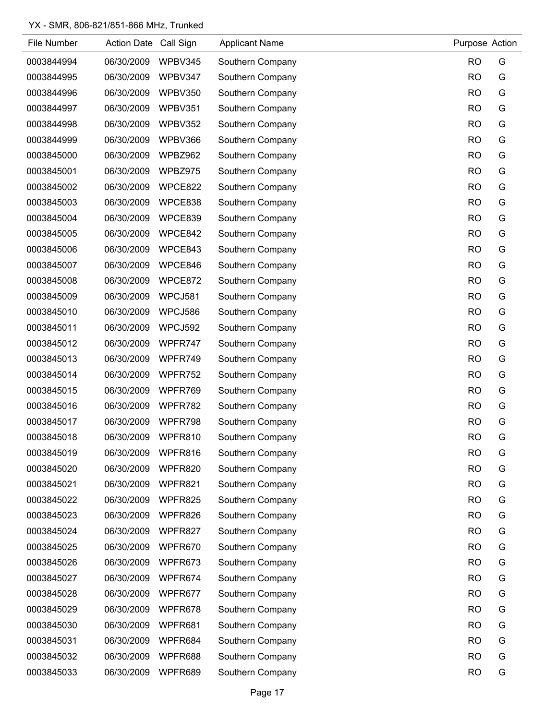| File Number | <b>Action Date</b> | Call Sign | <b>Applicant Name</b> | Purpose Action |   |
|-------------|--------------------|-----------|-----------------------|----------------|---|
| 0003844994  | 06/30/2009         | WPBV345   | Southern Company      | <b>RO</b>      | G |
| 0003844995  | 06/30/2009         | WPBV347   | Southern Company      | <b>RO</b>      | G |
| 0003844996  | 06/30/2009         | WPBV350   | Southern Company      | <b>RO</b>      | G |
| 0003844997  | 06/30/2009         | WPBV351   | Southern Company      | <b>RO</b>      | G |
| 0003844998  | 06/30/2009         | WPBV352   | Southern Company      | <b>RO</b>      | G |
| 0003844999  | 06/30/2009         | WPBV366   | Southern Company      | <b>RO</b>      | G |
| 0003845000  | 06/30/2009         | WPBZ962   | Southern Company      | <b>RO</b>      | G |
| 0003845001  | 06/30/2009         | WPBZ975   | Southern Company      | <b>RO</b>      | G |
| 0003845002  | 06/30/2009         | WPCE822   | Southern Company      | <b>RO</b>      | G |
| 0003845003  | 06/30/2009         | WPCE838   | Southern Company      | <b>RO</b>      | G |
| 0003845004  | 06/30/2009         | WPCE839   | Southern Company      | <b>RO</b>      | G |
| 0003845005  | 06/30/2009         | WPCE842   | Southern Company      | <b>RO</b>      | G |
| 0003845006  | 06/30/2009         | WPCE843   | Southern Company      | <b>RO</b>      | G |
| 0003845007  | 06/30/2009         | WPCE846   | Southern Company      | <b>RO</b>      | G |
| 0003845008  | 06/30/2009         | WPCE872   | Southern Company      | <b>RO</b>      | G |
| 0003845009  | 06/30/2009         | WPCJ581   | Southern Company      | <b>RO</b>      | G |
| 0003845010  | 06/30/2009         | WPCJ586   | Southern Company      | <b>RO</b>      | G |
| 0003845011  | 06/30/2009         | WPCJ592   | Southern Company      | <b>RO</b>      | G |
| 0003845012  | 06/30/2009         | WPFR747   | Southern Company      | <b>RO</b>      | G |
| 0003845013  | 06/30/2009         | WPFR749   | Southern Company      | <b>RO</b>      | G |
| 0003845014  | 06/30/2009         | WPFR752   | Southern Company      | <b>RO</b>      | G |
| 0003845015  | 06/30/2009         | WPFR769   | Southern Company      | <b>RO</b>      | G |
| 0003845016  | 06/30/2009         | WPFR782   | Southern Company      | <b>RO</b>      | G |
| 0003845017  | 06/30/2009         | WPFR798   | Southern Company      | <b>RO</b>      | G |
| 0003845018  | 06/30/2009         | WPFR810   | Southern Company      | <b>RO</b>      | G |
| 0003845019  | 06/30/2009         | WPFR816   | Southern Company      | <b>RO</b>      | G |
| 0003845020  | 06/30/2009         | WPFR820   | Southern Company      | <b>RO</b>      | G |
| 0003845021  | 06/30/2009         | WPFR821   | Southern Company      | <b>RO</b>      | G |
| 0003845022  | 06/30/2009         | WPFR825   | Southern Company      | <b>RO</b>      | G |
| 0003845023  | 06/30/2009         | WPFR826   | Southern Company      | <b>RO</b>      | G |
| 0003845024  | 06/30/2009         | WPFR827   | Southern Company      | <b>RO</b>      | G |
| 0003845025  | 06/30/2009         | WPFR670   | Southern Company      | <b>RO</b>      | G |
| 0003845026  | 06/30/2009         | WPFR673   | Southern Company      | <b>RO</b>      | G |
| 0003845027  | 06/30/2009         | WPFR674   | Southern Company      | <b>RO</b>      | G |
| 0003845028  | 06/30/2009         | WPFR677   | Southern Company      | <b>RO</b>      | G |
| 0003845029  | 06/30/2009         | WPFR678   | Southern Company      | <b>RO</b>      | G |
| 0003845030  | 06/30/2009         | WPFR681   | Southern Company      | <b>RO</b>      | G |
| 0003845031  | 06/30/2009         | WPFR684   | Southern Company      | <b>RO</b>      | G |
| 0003845032  | 06/30/2009         | WPFR688   | Southern Company      | <b>RO</b>      | G |
| 0003845033  | 06/30/2009         | WPFR689   | Southern Company      | <b>RO</b>      | G |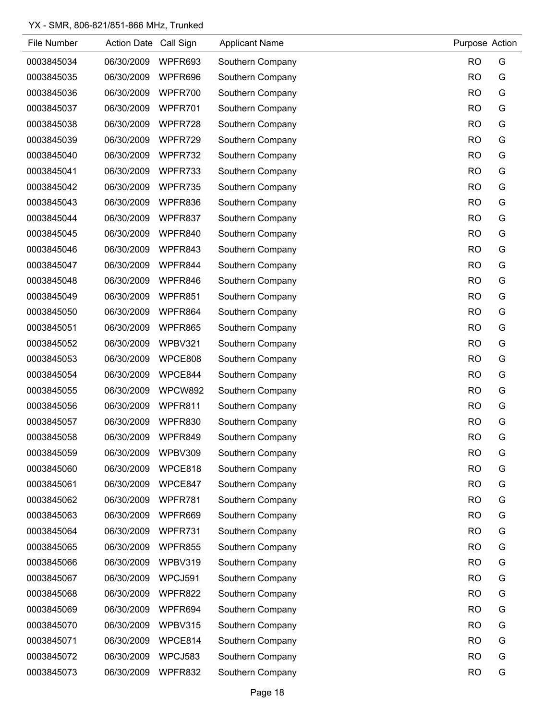| File Number | Action Date Call Sign |         | <b>Applicant Name</b> | Purpose Action |   |
|-------------|-----------------------|---------|-----------------------|----------------|---|
| 0003845034  | 06/30/2009            | WPFR693 | Southern Company      | <b>RO</b>      | G |
| 0003845035  | 06/30/2009            | WPFR696 | Southern Company      | <b>RO</b>      | G |
| 0003845036  | 06/30/2009            | WPFR700 | Southern Company      | <b>RO</b>      | G |
| 0003845037  | 06/30/2009            | WPFR701 | Southern Company      | <b>RO</b>      | G |
| 0003845038  | 06/30/2009            | WPFR728 | Southern Company      | <b>RO</b>      | G |
| 0003845039  | 06/30/2009            | WPFR729 | Southern Company      | <b>RO</b>      | G |
| 0003845040  | 06/30/2009            | WPFR732 | Southern Company      | <b>RO</b>      | G |
| 0003845041  | 06/30/2009            | WPFR733 | Southern Company      | <b>RO</b>      | G |
| 0003845042  | 06/30/2009            | WPFR735 | Southern Company      | <b>RO</b>      | G |
| 0003845043  | 06/30/2009            | WPFR836 | Southern Company      | <b>RO</b>      | G |
| 0003845044  | 06/30/2009            | WPFR837 | Southern Company      | <b>RO</b>      | G |
| 0003845045  | 06/30/2009            | WPFR840 | Southern Company      | <b>RO</b>      | G |
| 0003845046  | 06/30/2009            | WPFR843 | Southern Company      | <b>RO</b>      | G |
| 0003845047  | 06/30/2009            | WPFR844 | Southern Company      | <b>RO</b>      | G |
| 0003845048  | 06/30/2009            | WPFR846 | Southern Company      | <b>RO</b>      | G |
| 0003845049  | 06/30/2009            | WPFR851 | Southern Company      | <b>RO</b>      | G |
| 0003845050  | 06/30/2009            | WPFR864 | Southern Company      | <b>RO</b>      | G |
| 0003845051  | 06/30/2009            | WPFR865 | Southern Company      | <b>RO</b>      | G |
| 0003845052  | 06/30/2009            | WPBV321 | Southern Company      | <b>RO</b>      | G |
| 0003845053  | 06/30/2009            | WPCE808 | Southern Company      | <b>RO</b>      | G |
| 0003845054  | 06/30/2009            | WPCE844 | Southern Company      | <b>RO</b>      | G |
| 0003845055  | 06/30/2009            | WPCW892 | Southern Company      | <b>RO</b>      | G |
| 0003845056  | 06/30/2009            | WPFR811 | Southern Company      | <b>RO</b>      | G |
| 0003845057  | 06/30/2009            | WPFR830 | Southern Company      | <b>RO</b>      | G |
| 0003845058  | 06/30/2009            | WPFR849 | Southern Company      | <b>RO</b>      | G |
| 0003845059  | 06/30/2009            | WPBV309 | Southern Company      | <b>RO</b>      | G |
| 0003845060  | 06/30/2009            | WPCE818 | Southern Company      | <b>RO</b>      | G |
| 0003845061  | 06/30/2009            | WPCE847 | Southern Company      | <b>RO</b>      | G |
| 0003845062  | 06/30/2009            | WPFR781 | Southern Company      | <b>RO</b>      | G |
| 0003845063  | 06/30/2009            | WPFR669 | Southern Company      | <b>RO</b>      | G |
| 0003845064  | 06/30/2009            | WPFR731 | Southern Company      | <b>RO</b>      | G |
| 0003845065  | 06/30/2009            | WPFR855 | Southern Company      | <b>RO</b>      | G |
| 0003845066  | 06/30/2009            | WPBV319 | Southern Company      | <b>RO</b>      | G |
| 0003845067  | 06/30/2009            | WPCJ591 | Southern Company      | <b>RO</b>      | G |
| 0003845068  | 06/30/2009            | WPFR822 | Southern Company      | <b>RO</b>      | G |
| 0003845069  | 06/30/2009            | WPFR694 | Southern Company      | <b>RO</b>      | G |
| 0003845070  | 06/30/2009            | WPBV315 | Southern Company      | <b>RO</b>      | G |
| 0003845071  | 06/30/2009            | WPCE814 | Southern Company      | <b>RO</b>      | G |
| 0003845072  | 06/30/2009            | WPCJ583 | Southern Company      | <b>RO</b>      | G |
| 0003845073  | 06/30/2009            | WPFR832 | Southern Company      | <b>RO</b>      | G |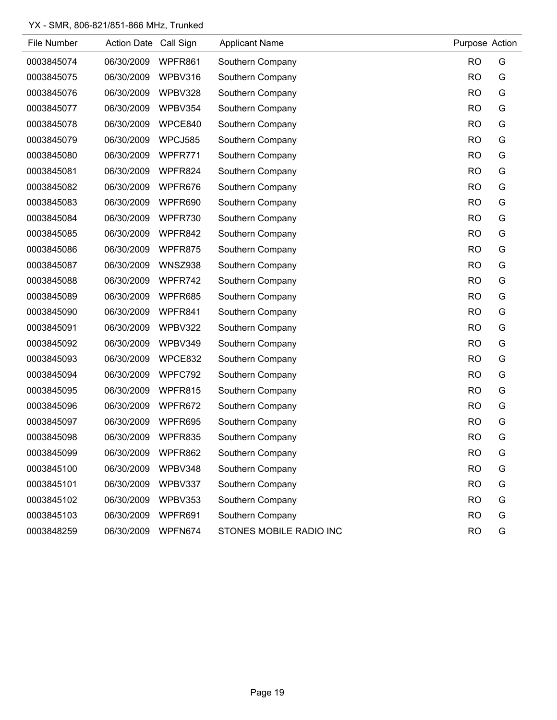| File Number | Action Date Call Sign |                | <b>Applicant Name</b>   | Purpose Action |   |
|-------------|-----------------------|----------------|-------------------------|----------------|---|
| 0003845074  | 06/30/2009            | WPFR861        | Southern Company        | <b>RO</b>      | G |
| 0003845075  | 06/30/2009            | WPBV316        | Southern Company        | <b>RO</b>      | G |
| 0003845076  | 06/30/2009            | WPBV328        | Southern Company        | <b>RO</b>      | G |
| 0003845077  | 06/30/2009            | WPBV354        | Southern Company        | <b>RO</b>      | G |
| 0003845078  | 06/30/2009            | WPCE840        | Southern Company        | <b>RO</b>      | G |
| 0003845079  | 06/30/2009            | WPCJ585        | Southern Company        | <b>RO</b>      | G |
| 0003845080  | 06/30/2009            | WPFR771        | Southern Company        | <b>RO</b>      | G |
| 0003845081  | 06/30/2009            | WPFR824        | Southern Company        | <b>RO</b>      | G |
| 0003845082  | 06/30/2009            | WPFR676        | Southern Company        | <b>RO</b>      | G |
| 0003845083  | 06/30/2009            | WPFR690        | Southern Company        | <b>RO</b>      | G |
| 0003845084  | 06/30/2009            | WPFR730        | Southern Company        | <b>RO</b>      | G |
| 0003845085  | 06/30/2009            | WPFR842        | Southern Company        | <b>RO</b>      | G |
| 0003845086  | 06/30/2009            | WPFR875        | Southern Company        | <b>RO</b>      | G |
| 0003845087  | 06/30/2009            | <b>WNSZ938</b> | Southern Company        | <b>RO</b>      | G |
| 0003845088  | 06/30/2009            | WPFR742        | Southern Company        | <b>RO</b>      | G |
| 0003845089  | 06/30/2009            | WPFR685        | Southern Company        | <b>RO</b>      | G |
| 0003845090  | 06/30/2009            | WPFR841        | Southern Company        | <b>RO</b>      | G |
| 0003845091  | 06/30/2009            | WPBV322        | Southern Company        | <b>RO</b>      | G |
| 0003845092  | 06/30/2009            | WPBV349        | Southern Company        | <b>RO</b>      | G |
| 0003845093  | 06/30/2009            | WPCE832        | Southern Company        | <b>RO</b>      | G |
| 0003845094  | 06/30/2009            | WPFC792        | Southern Company        | <b>RO</b>      | G |
| 0003845095  | 06/30/2009            | WPFR815        | Southern Company        | <b>RO</b>      | G |
| 0003845096  | 06/30/2009            | WPFR672        | Southern Company        | <b>RO</b>      | G |
| 0003845097  | 06/30/2009            | WPFR695        | Southern Company        | <b>RO</b>      | G |
| 0003845098  | 06/30/2009            | WPFR835        | Southern Company        | <b>RO</b>      | G |
| 0003845099  | 06/30/2009            | WPFR862        | Southern Company        | <b>RO</b>      | G |
| 0003845100  | 06/30/2009            | WPBV348        | Southern Company        | <b>RO</b>      | G |
| 0003845101  | 06/30/2009            | WPBV337        | Southern Company        | <b>RO</b>      | G |
| 0003845102  | 06/30/2009            | WPBV353        | Southern Company        | <b>RO</b>      | G |
| 0003845103  | 06/30/2009            | WPFR691        | Southern Company        | <b>RO</b>      | G |
| 0003848259  | 06/30/2009            | WPFN674        | STONES MOBILE RADIO INC | <b>RO</b>      | G |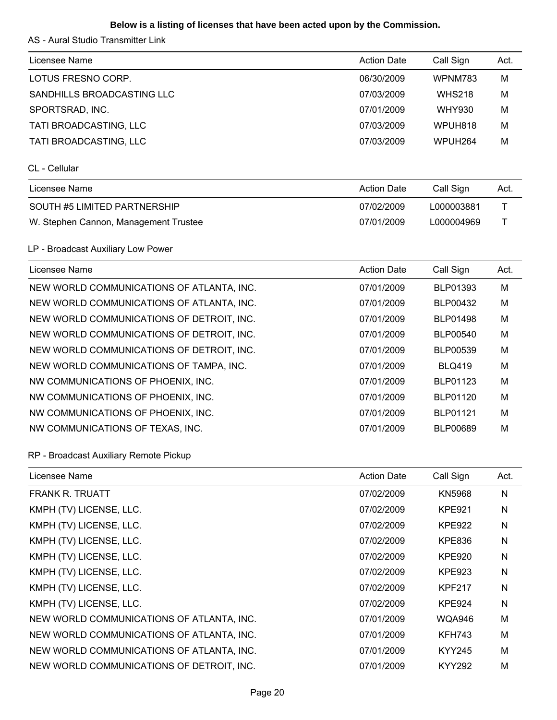# **Below is a listing of licenses that have been acted upon by the Commission.**

AS - Aural Studio Transmitter Link

| Licensee Name                             | <b>Action Date</b> | Call Sign     | Act. |
|-------------------------------------------|--------------------|---------------|------|
| LOTUS FRESNO CORP.                        | 06/30/2009         | WPNM783       | M    |
| SANDHILLS BROADCASTING LLC                | 07/03/2009         | <b>WHS218</b> | M    |
| SPORTSRAD, INC.                           | 07/01/2009         | <b>WHY930</b> | M    |
| TATI BROADCASTING, LLC                    | 07/03/2009         | WPUH818       | M    |
| TATI BROADCASTING, LLC                    | 07/03/2009         | WPUH264       | M    |
| CL - Cellular                             |                    |               |      |
| Licensee Name                             | <b>Action Date</b> | Call Sign     | Act. |
| SOUTH #5 LIMITED PARTNERSHIP              | 07/02/2009         | L000003881    | Τ    |
| W. Stephen Cannon, Management Trustee     | 07/01/2009         | L000004969    | Τ    |
| LP - Broadcast Auxiliary Low Power        |                    |               |      |
| Licensee Name                             | <b>Action Date</b> | Call Sign     | Act. |
| NEW WORLD COMMUNICATIONS OF ATLANTA, INC. | 07/01/2009         | BLP01393      | M    |
| NEW WORLD COMMUNICATIONS OF ATLANTA, INC. | 07/01/2009         | BLP00432      | M    |
| NEW WORLD COMMUNICATIONS OF DETROIT, INC. | 07/01/2009         | BLP01498      | M    |
| NEW WORLD COMMUNICATIONS OF DETROIT, INC. | 07/01/2009         | BLP00540      | M    |
| NEW WORLD COMMUNICATIONS OF DETROIT, INC. | 07/01/2009         | BLP00539      | M    |
| NEW WORLD COMMUNICATIONS OF TAMPA, INC.   | 07/01/2009         | <b>BLQ419</b> | M    |
| NW COMMUNICATIONS OF PHOENIX, INC.        | 07/01/2009         | BLP01123      | M    |
| NW COMMUNICATIONS OF PHOENIX, INC.        | 07/01/2009         | BLP01120      | M    |
| NW COMMUNICATIONS OF PHOENIX, INC.        | 07/01/2009         | BLP01121      | M    |
| NW COMMUNICATIONS OF TEXAS, INC.          | 07/01/2009         | BLP00689      | M    |
| RP - Broadcast Auxiliary Remote Pickup    |                    |               |      |
| Licensee Name                             | <b>Action Date</b> | Call Sign     | Act. |
| <b>FRANK R. TRUATT</b>                    | 07/02/2009         | <b>KN5968</b> | N    |
| KMPH (TV) LICENSE, LLC.                   | 07/02/2009         | <b>KPE921</b> | N    |
| KMPH (TV) LICENSE, LLC.                   | 07/02/2009         | <b>KPE922</b> | N    |
| KMPH (TV) LICENSE, LLC.                   | 07/02/2009         | <b>KPE836</b> | Ν    |
| KMPH (TV) LICENSE, LLC.                   | 07/02/2009         | <b>KPE920</b> | N    |
| KMPH (TV) LICENSE, LLC.                   | 07/02/2009         | <b>KPE923</b> | N    |
| KMPH (TV) LICENSE, LLC.                   | 07/02/2009         | <b>KPF217</b> | N    |
| KMPH (TV) LICENSE, LLC.                   | 07/02/2009         | <b>KPE924</b> | N    |
| NEW WORLD COMMUNICATIONS OF ATLANTA, INC. | 07/01/2009         | <b>WQA946</b> | M    |
| NEW WORLD COMMUNICATIONS OF ATLANTA, INC. | 07/01/2009         | <b>KFH743</b> | M    |
| NEW WORLD COMMUNICATIONS OF ATLANTA, INC. | 07/01/2009         | <b>KYY245</b> | M    |
| NEW WORLD COMMUNICATIONS OF DETROIT, INC. | 07/01/2009         | <b>KYY292</b> | M    |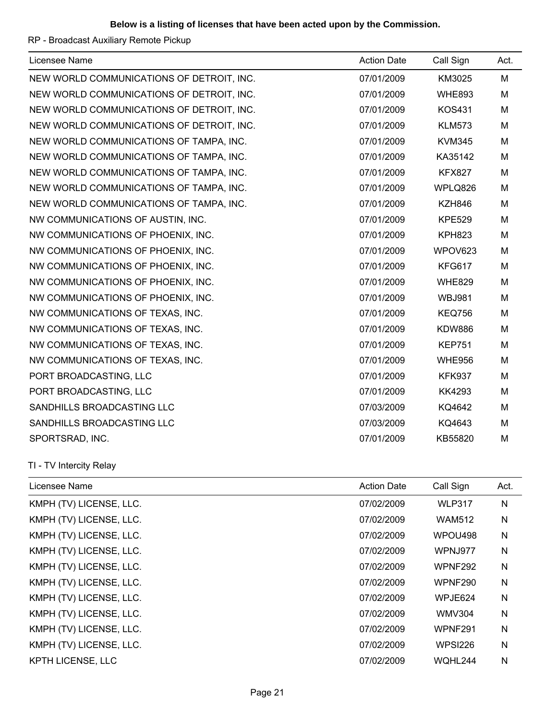# RP - Broadcast Auxiliary Remote Pickup

| Licensee Name                             | <b>Action Date</b> | Call Sign     | Act. |
|-------------------------------------------|--------------------|---------------|------|
| NEW WORLD COMMUNICATIONS OF DETROIT, INC. | 07/01/2009         | KM3025        | M    |
| NEW WORLD COMMUNICATIONS OF DETROIT, INC. | 07/01/2009         | <b>WHE893</b> | M    |
| NEW WORLD COMMUNICATIONS OF DETROIT, INC. | 07/01/2009         | <b>KOS431</b> | M    |
| NEW WORLD COMMUNICATIONS OF DETROIT, INC. | 07/01/2009         | <b>KLM573</b> | M    |
| NEW WORLD COMMUNICATIONS OF TAMPA, INC.   | 07/01/2009         | <b>KVM345</b> | M    |
| NEW WORLD COMMUNICATIONS OF TAMPA, INC.   | 07/01/2009         | KA35142       | M    |
| NEW WORLD COMMUNICATIONS OF TAMPA, INC.   | 07/01/2009         | <b>KFX827</b> | M    |
| NEW WORLD COMMUNICATIONS OF TAMPA, INC.   | 07/01/2009         | WPLQ826       | M    |
| NEW WORLD COMMUNICATIONS OF TAMPA, INC.   | 07/01/2009         | <b>KZH846</b> | M    |
| NW COMMUNICATIONS OF AUSTIN, INC.         | 07/01/2009         | <b>KPE529</b> | M    |
| NW COMMUNICATIONS OF PHOENIX, INC.        | 07/01/2009         | <b>KPH823</b> | M    |
| NW COMMUNICATIONS OF PHOENIX, INC.        | 07/01/2009         | WPOV623       | M    |
| NW COMMUNICATIONS OF PHOENIX, INC.        | 07/01/2009         | KFG617        | M    |
| NW COMMUNICATIONS OF PHOENIX, INC.        | 07/01/2009         | <b>WHE829</b> | M    |
| NW COMMUNICATIONS OF PHOENIX, INC.        | 07/01/2009         | <b>WBJ981</b> | M    |
| NW COMMUNICATIONS OF TEXAS, INC.          | 07/01/2009         | <b>KEQ756</b> | M    |
| NW COMMUNICATIONS OF TEXAS, INC.          | 07/01/2009         | <b>KDW886</b> | M    |
| NW COMMUNICATIONS OF TEXAS, INC.          | 07/01/2009         | <b>KEP751</b> | M    |
| NW COMMUNICATIONS OF TEXAS, INC.          | 07/01/2009         | <b>WHE956</b> | M    |
| PORT BROADCASTING, LLC                    | 07/01/2009         | <b>KFK937</b> | M    |
| PORT BROADCASTING, LLC                    | 07/01/2009         | <b>KK4293</b> | M    |
| SANDHILLS BROADCASTING LLC                | 07/03/2009         | KQ4642        | M    |
| SANDHILLS BROADCASTING LLC                | 07/03/2009         | KQ4643        | M    |
| SPORTSRAD, INC.                           | 07/01/2009         | KB55820       | M    |

TI - TV Intercity Relay

| Licensee Name           | <b>Action Date</b> | Call Sign      | Act. |
|-------------------------|--------------------|----------------|------|
| KMPH (TV) LICENSE, LLC. | 07/02/2009         | <b>WLP317</b>  | N    |
| KMPH (TV) LICENSE, LLC. | 07/02/2009         | <b>WAM512</b>  | N    |
| KMPH (TV) LICENSE, LLC. | 07/02/2009         | WPOU498        | N    |
| KMPH (TV) LICENSE, LLC. | 07/02/2009         | WPNJ977        | N    |
| KMPH (TV) LICENSE, LLC. | 07/02/2009         | WPNF292        | N    |
| KMPH (TV) LICENSE, LLC. | 07/02/2009         | <b>WPNF290</b> | N    |
| KMPH (TV) LICENSE, LLC. | 07/02/2009         | WPJE624        | N    |
| KMPH (TV) LICENSE, LLC. | 07/02/2009         | <b>WMV304</b>  | N    |
| KMPH (TV) LICENSE, LLC. | 07/02/2009         | WPNF291        | N    |
| KMPH (TV) LICENSE, LLC. | 07/02/2009         | <b>WPSI226</b> | N    |
| KPTH LICENSE, LLC       | 07/02/2009         | WOHL244        | N    |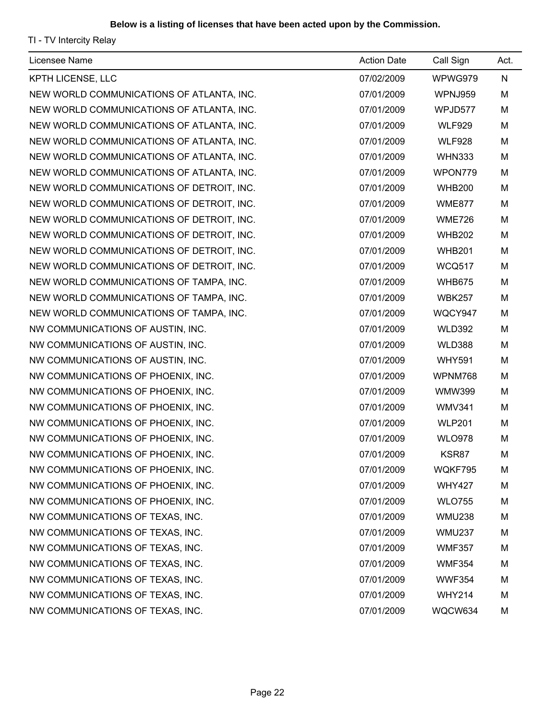TI - TV Intercity Relay

| Licensee Name                             | <b>Action Date</b> | Call Sign     | Act.      |
|-------------------------------------------|--------------------|---------------|-----------|
| KPTH LICENSE, LLC                         | 07/02/2009         | WPWG979       | ${\sf N}$ |
| NEW WORLD COMMUNICATIONS OF ATLANTA, INC. | 07/01/2009         | WPNJ959       | M         |
| NEW WORLD COMMUNICATIONS OF ATLANTA, INC. | 07/01/2009         | WPJD577       | M         |
| NEW WORLD COMMUNICATIONS OF ATLANTA, INC. | 07/01/2009         | <b>WLF929</b> | M         |
| NEW WORLD COMMUNICATIONS OF ATLANTA, INC. | 07/01/2009         | <b>WLF928</b> | M         |
| NEW WORLD COMMUNICATIONS OF ATLANTA, INC. | 07/01/2009         | <b>WHN333</b> | M         |
| NEW WORLD COMMUNICATIONS OF ATLANTA, INC. | 07/01/2009         | WPON779       | M         |
| NEW WORLD COMMUNICATIONS OF DETROIT, INC. | 07/01/2009         | <b>WHB200</b> | M         |
| NEW WORLD COMMUNICATIONS OF DETROIT, INC. | 07/01/2009         | <b>WME877</b> | M         |
| NEW WORLD COMMUNICATIONS OF DETROIT, INC. | 07/01/2009         | <b>WME726</b> | M         |
| NEW WORLD COMMUNICATIONS OF DETROIT, INC. | 07/01/2009         | <b>WHB202</b> | M         |
| NEW WORLD COMMUNICATIONS OF DETROIT, INC. | 07/01/2009         | <b>WHB201</b> | M         |
| NEW WORLD COMMUNICATIONS OF DETROIT, INC. | 07/01/2009         | <b>WCQ517</b> | M         |
| NEW WORLD COMMUNICATIONS OF TAMPA, INC.   | 07/01/2009         | <b>WHB675</b> | M         |
| NEW WORLD COMMUNICATIONS OF TAMPA, INC.   | 07/01/2009         | <b>WBK257</b> | M         |
| NEW WORLD COMMUNICATIONS OF TAMPA, INC.   | 07/01/2009         | WQCY947       | M         |
| NW COMMUNICATIONS OF AUSTIN, INC.         | 07/01/2009         | <b>WLD392</b> | M         |
| NW COMMUNICATIONS OF AUSTIN, INC.         | 07/01/2009         | <b>WLD388</b> | M         |
| NW COMMUNICATIONS OF AUSTIN, INC.         | 07/01/2009         | <b>WHY591</b> | M         |
| NW COMMUNICATIONS OF PHOENIX, INC.        | 07/01/2009         | WPNM768       | M         |
| NW COMMUNICATIONS OF PHOENIX, INC.        | 07/01/2009         | <b>WMW399</b> | M         |
| NW COMMUNICATIONS OF PHOENIX, INC.        | 07/01/2009         | <b>WMV341</b> | M         |
| NW COMMUNICATIONS OF PHOENIX, INC.        | 07/01/2009         | <b>WLP201</b> | M         |
| NW COMMUNICATIONS OF PHOENIX, INC.        | 07/01/2009         | <b>WLO978</b> | M         |
| NW COMMUNICATIONS OF PHOENIX, INC.        | 07/01/2009         | KSR87         | M         |
| NW COMMUNICATIONS OF PHOENIX, INC.        | 07/01/2009         | WQKF795       | M         |
| NW COMMUNICATIONS OF PHOENIX, INC.        | 07/01/2009         | <b>WHY427</b> | M         |
| NW COMMUNICATIONS OF PHOENIX, INC.        | 07/01/2009         | <b>WLO755</b> | M         |
| NW COMMUNICATIONS OF TEXAS, INC.          | 07/01/2009         | <b>WMU238</b> | M         |
| NW COMMUNICATIONS OF TEXAS, INC.          | 07/01/2009         | <b>WMU237</b> | M         |
| NW COMMUNICATIONS OF TEXAS, INC.          | 07/01/2009         | <b>WMF357</b> | M         |
| NW COMMUNICATIONS OF TEXAS, INC.          | 07/01/2009         | <b>WMF354</b> | M         |
| NW COMMUNICATIONS OF TEXAS, INC.          | 07/01/2009         | <b>WWF354</b> | M         |
| NW COMMUNICATIONS OF TEXAS, INC.          | 07/01/2009         | <b>WHY214</b> | M         |
| NW COMMUNICATIONS OF TEXAS, INC.          | 07/01/2009         | WQCW634       | M         |
|                                           |                    |               |           |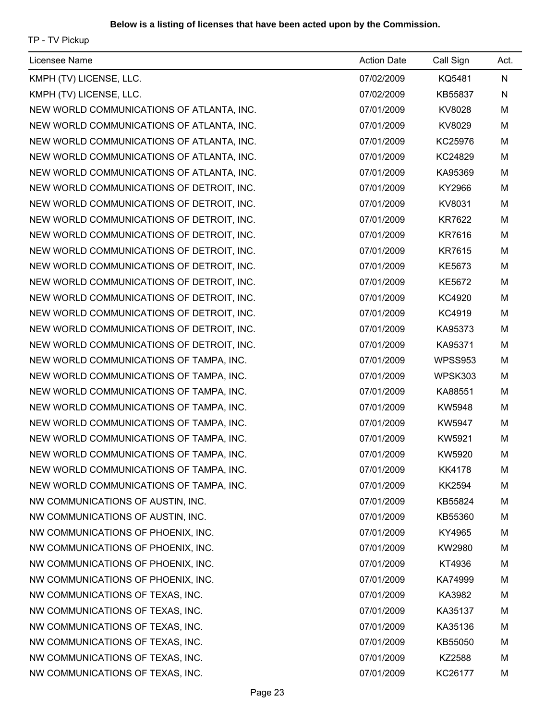TP - TV Pickup

| Licensee Name                             | <b>Action Date</b> | Call Sign     | Act. |
|-------------------------------------------|--------------------|---------------|------|
| KMPH (TV) LICENSE, LLC.                   | 07/02/2009         | KQ5481        | N    |
| KMPH (TV) LICENSE, LLC.                   | 07/02/2009         | KB55837       | N    |
| NEW WORLD COMMUNICATIONS OF ATLANTA, INC. | 07/01/2009         | KV8028        | M    |
| NEW WORLD COMMUNICATIONS OF ATLANTA, INC. | 07/01/2009         | KV8029        | M    |
| NEW WORLD COMMUNICATIONS OF ATLANTA, INC. | 07/01/2009         | KC25976       | M    |
| NEW WORLD COMMUNICATIONS OF ATLANTA, INC. | 07/01/2009         | KC24829       | M    |
| NEW WORLD COMMUNICATIONS OF ATLANTA, INC. | 07/01/2009         | KA95369       | M    |
| NEW WORLD COMMUNICATIONS OF DETROIT, INC. | 07/01/2009         | KY2966        | M    |
| NEW WORLD COMMUNICATIONS OF DETROIT, INC. | 07/01/2009         | KV8031        | M    |
| NEW WORLD COMMUNICATIONS OF DETROIT, INC. | 07/01/2009         | <b>KR7622</b> | M    |
| NEW WORLD COMMUNICATIONS OF DETROIT, INC. | 07/01/2009         | KR7616        | M    |
| NEW WORLD COMMUNICATIONS OF DETROIT, INC. | 07/01/2009         | <b>KR7615</b> | M    |
| NEW WORLD COMMUNICATIONS OF DETROIT, INC. | 07/01/2009         | KE5673        | M    |
| NEW WORLD COMMUNICATIONS OF DETROIT, INC. | 07/01/2009         | <b>KE5672</b> | M    |
| NEW WORLD COMMUNICATIONS OF DETROIT, INC. | 07/01/2009         | KC4920        | M    |
| NEW WORLD COMMUNICATIONS OF DETROIT, INC. | 07/01/2009         | KC4919        | M    |
| NEW WORLD COMMUNICATIONS OF DETROIT, INC. | 07/01/2009         | KA95373       | M    |
| NEW WORLD COMMUNICATIONS OF DETROIT, INC. | 07/01/2009         | KA95371       | M    |
| NEW WORLD COMMUNICATIONS OF TAMPA, INC.   | 07/01/2009         | WPSS953       | M    |
| NEW WORLD COMMUNICATIONS OF TAMPA, INC.   | 07/01/2009         | WPSK303       | M    |
| NEW WORLD COMMUNICATIONS OF TAMPA, INC.   | 07/01/2009         | KA88551       | М    |
| NEW WORLD COMMUNICATIONS OF TAMPA, INC.   | 07/01/2009         | KW5948        | M    |
| NEW WORLD COMMUNICATIONS OF TAMPA, INC.   | 07/01/2009         | KW5947        | M    |
| NEW WORLD COMMUNICATIONS OF TAMPA, INC.   | 07/01/2009         | KW5921        | M    |
| NEW WORLD COMMUNICATIONS OF TAMPA, INC.   | 07/01/2009         | KW5920        | M    |
| NEW WORLD COMMUNICATIONS OF TAMPA, INC.   | 07/01/2009         | <b>KK4178</b> | M    |
| NEW WORLD COMMUNICATIONS OF TAMPA, INC.   | 07/01/2009         | <b>KK2594</b> | M    |
| NW COMMUNICATIONS OF AUSTIN, INC.         | 07/01/2009         | KB55824       | M    |
| NW COMMUNICATIONS OF AUSTIN, INC.         | 07/01/2009         | KB55360       | M    |
| NW COMMUNICATIONS OF PHOENIX, INC.        | 07/01/2009         | KY4965        | M    |
| NW COMMUNICATIONS OF PHOENIX, INC.        | 07/01/2009         | KW2980        | M    |
| NW COMMUNICATIONS OF PHOENIX, INC.        | 07/01/2009         | KT4936        | M    |
| NW COMMUNICATIONS OF PHOENIX, INC.        | 07/01/2009         | KA74999       | M    |
| NW COMMUNICATIONS OF TEXAS, INC.          | 07/01/2009         | KA3982        | M    |
| NW COMMUNICATIONS OF TEXAS, INC.          | 07/01/2009         | KA35137       | M    |
| NW COMMUNICATIONS OF TEXAS, INC.          | 07/01/2009         | KA35136       | M    |
| NW COMMUNICATIONS OF TEXAS, INC.          | 07/01/2009         | KB55050       | M    |
| NW COMMUNICATIONS OF TEXAS, INC.          | 07/01/2009         | KZ2588        | M    |
| NW COMMUNICATIONS OF TEXAS, INC.          | 07/01/2009         | KC26177       | M    |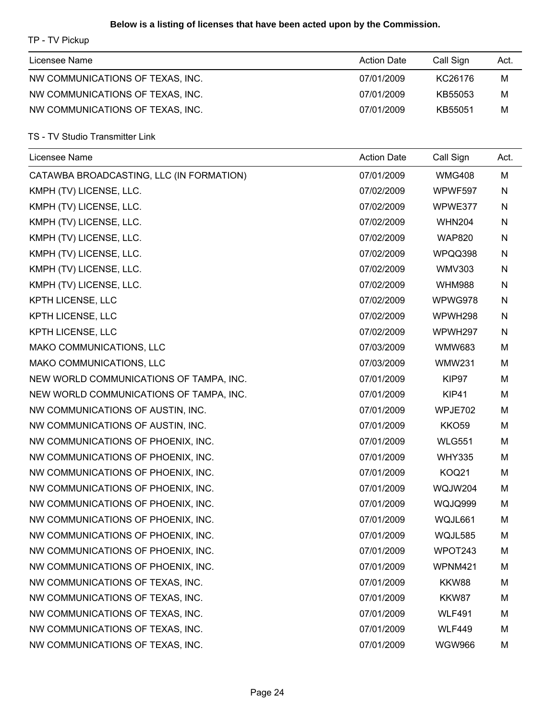# **Below is a listing of licenses that have been acted upon by the Commission.**

TP - TV Pickup

| Licensee Name                    | <b>Action Date</b> | Call Sign | Act. |
|----------------------------------|--------------------|-----------|------|
| NW COMMUNICATIONS OF TEXAS, INC. | 07/01/2009         | KC26176   | M    |
| NW COMMUNICATIONS OF TEXAS, INC. | 07/01/2009         | KB55053   | M    |
| NW COMMUNICATIONS OF TEXAS, INC. | 07/01/2009         | KB55051   | M    |

TS - TV Studio Transmitter Link

| Licensee Name                            | <b>Action Date</b> | Call Sign      | Act. |
|------------------------------------------|--------------------|----------------|------|
| CATAWBA BROADCASTING, LLC (IN FORMATION) | 07/01/2009         | <b>WMG408</b>  | M    |
| KMPH (TV) LICENSE, LLC.                  | 07/02/2009         | WPWF597        | N    |
| KMPH (TV) LICENSE, LLC.                  | 07/02/2009         | WPWE377        | N    |
| KMPH (TV) LICENSE, LLC.                  | 07/02/2009         | <b>WHN204</b>  | N    |
| KMPH (TV) LICENSE, LLC.                  | 07/02/2009         | <b>WAP820</b>  | N    |
| KMPH (TV) LICENSE, LLC.                  | 07/02/2009         | WPQQ398        | N    |
| KMPH (TV) LICENSE, LLC.                  | 07/02/2009         | <b>WMV303</b>  | N    |
| KMPH (TV) LICENSE, LLC.                  | 07/02/2009         | <b>WHM988</b>  | N    |
| KPTH LICENSE, LLC                        | 07/02/2009         | WPWG978        | N    |
| KPTH LICENSE, LLC                        | 07/02/2009         | WPWH298        | N    |
| KPTH LICENSE, LLC                        | 07/02/2009         | WPWH297        | N    |
| MAKO COMMUNICATIONS, LLC                 | 07/03/2009         | <b>WMW683</b>  | M    |
| MAKO COMMUNICATIONS, LLC                 | 07/03/2009         | <b>WMW231</b>  | M    |
| NEW WORLD COMMUNICATIONS OF TAMPA, INC.  | 07/01/2009         | KIP97          | M    |
| NEW WORLD COMMUNICATIONS OF TAMPA, INC.  | 07/01/2009         | KIP41          | M    |
| NW COMMUNICATIONS OF AUSTIN, INC.        | 07/01/2009         | WPJE702        | M    |
| NW COMMUNICATIONS OF AUSTIN, INC.        | 07/01/2009         | <b>KKO59</b>   | M    |
| NW COMMUNICATIONS OF PHOENIX, INC.       | 07/01/2009         | <b>WLG551</b>  | M    |
| NW COMMUNICATIONS OF PHOENIX, INC.       | 07/01/2009         | <b>WHY335</b>  | м    |
| NW COMMUNICATIONS OF PHOENIX, INC.       | 07/01/2009         | <b>KOQ21</b>   | M    |
| NW COMMUNICATIONS OF PHOENIX, INC.       | 07/01/2009         | WQJW204        | M    |
| NW COMMUNICATIONS OF PHOENIX, INC.       | 07/01/2009         | <b>WQJQ999</b> | M    |
| NW COMMUNICATIONS OF PHOENIX, INC.       | 07/01/2009         | WQJL661        | M    |
| NW COMMUNICATIONS OF PHOENIX, INC.       | 07/01/2009         | WQJL585        | M    |
| NW COMMUNICATIONS OF PHOENIX, INC.       | 07/01/2009         | WPOT243        | M    |
| NW COMMUNICATIONS OF PHOENIX, INC.       | 07/01/2009         | WPNM421        | M    |
| NW COMMUNICATIONS OF TEXAS, INC.         | 07/01/2009         | KKW88          | M    |
| NW COMMUNICATIONS OF TEXAS, INC.         | 07/01/2009         | KKW87          | M    |
| NW COMMUNICATIONS OF TEXAS, INC.         | 07/01/2009         | <b>WLF491</b>  | M    |
| NW COMMUNICATIONS OF TEXAS, INC.         | 07/01/2009         | <b>WLF449</b>  | M    |
| NW COMMUNICATIONS OF TEXAS, INC.         | 07/01/2009         | <b>WGW966</b>  | M    |